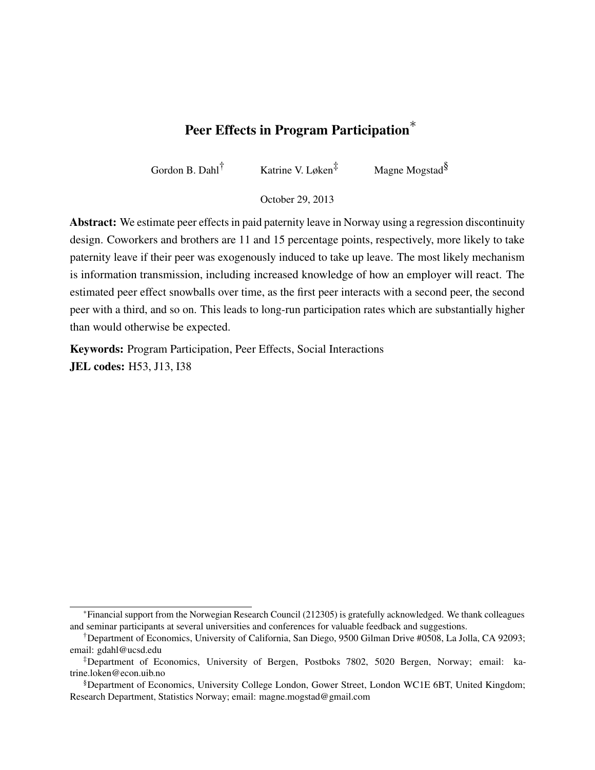# Peer Effects in Program Participation<sup>\*</sup>

Gordon B. Dahl<sup>†</sup> Katrine V. Løken<sup>‡</sup> Magne Mogstad<sup>§</sup>

October 29, 2013

Abstract: We estimate peer effects in paid paternity leave in Norway using a regression discontinuity design. Coworkers and brothers are 11 and 15 percentage points, respectively, more likely to take paternity leave if their peer was exogenously induced to take up leave. The most likely mechanism is information transmission, including increased knowledge of how an employer will react. The estimated peer effect snowballs over time, as the first peer interacts with a second peer, the second peer with a third, and so on. This leads to long-run participation rates which are substantially higher than would otherwise be expected.

Keywords: Program Participation, Peer Effects, Social Interactions **JEL codes:** H53, J13, I38

<sup>∗</sup>Financial support from the Norwegian Research Council (212305) is gratefully acknowledged. We thank colleagues and seminar participants at several universities and conferences for valuable feedback and suggestions.

<sup>†</sup>Department of Economics, University of California, San Diego, 9500 Gilman Drive #0508, La Jolla, CA 92093; email: gdahl@ucsd.edu

<sup>‡</sup>Department of Economics, University of Bergen, Postboks 7802, 5020 Bergen, Norway; email: katrine.loken@econ.uib.no

<sup>§</sup>Department of Economics, University College London, Gower Street, London WC1E 6BT, United Kingdom; Research Department, Statistics Norway; email: magne.mogstad@gmail.com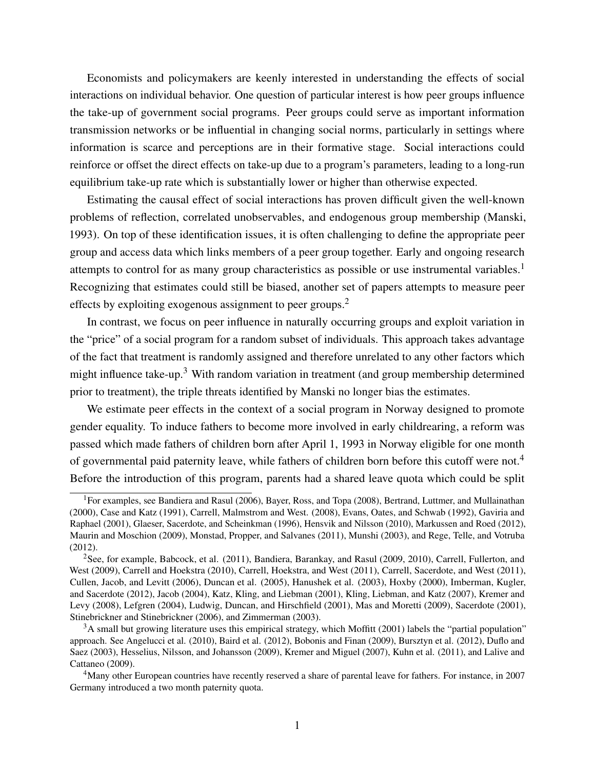Economists and policymakers are keenly interested in understanding the effects of social interactions on individual behavior. One question of particular interest is how peer groups influence the take-up of government social programs. Peer groups could serve as important information transmission networks or be influential in changing social norms, particularly in settings where information is scarce and perceptions are in their formative stage. Social interactions could reinforce or offset the direct effects on take-up due to a program's parameters, leading to a long-run equilibrium take-up rate which is substantially lower or higher than otherwise expected.

Estimating the causal effect of social interactions has proven difficult given the well-known problems of reflection, correlated unobservables, and endogenous group membership (Manski, 1993). On top of these identification issues, it is often challenging to define the appropriate peer group and access data which links members of a peer group together. Early and ongoing research attempts to control for as many group characteristics as possible or use instrumental variables.<sup>[1](#page-1-0)</sup> Recognizing that estimates could still be biased, another set of papers attempts to measure peer effects by exploiting exogenous assignment to peer groups.<sup>[2](#page-1-1)</sup>

In contrast, we focus on peer influence in naturally occurring groups and exploit variation in the "price" of a social program for a random subset of individuals. This approach takes advantage of the fact that treatment is randomly assigned and therefore unrelated to any other factors which might influence take-up.<sup>[3](#page-1-2)</sup> With random variation in treatment (and group membership determined prior to treatment), the triple threats identified by Manski no longer bias the estimates.

We estimate peer effects in the context of a social program in Norway designed to promote gender equality. To induce fathers to become more involved in early childrearing, a reform was passed which made fathers of children born after April 1, 1993 in Norway eligible for one month of governmental paid paternity leave, while fathers of children born before this cutoff were not.<sup>[4](#page-1-3)</sup> Before the introduction of this program, parents had a shared leave quota which could be split

<span id="page-1-0"></span><sup>&</sup>lt;sup>1</sup>For examples, see Bandiera and Rasul (2006), Bayer, Ross, and Topa (2008), Bertrand, Luttmer, and Mullainathan (2000), Case and Katz (1991), Carrell, Malmstrom and West. (2008), Evans, Oates, and Schwab (1992), Gaviria and Raphael (2001), Glaeser, Sacerdote, and Scheinkman (1996), Hensvik and Nilsson (2010), Markussen and Roed (2012), Maurin and Moschion (2009), Monstad, Propper, and Salvanes (2011), Munshi (2003), and Rege, Telle, and Votruba (2012).

<span id="page-1-1"></span><sup>&</sup>lt;sup>2</sup>See, for example, Babcock, et al. (2011), Bandiera, Barankay, and Rasul (2009, 2010), Carrell, Fullerton, and West (2009), Carrell and Hoekstra (2010), Carrell, Hoekstra, and West (2011), Carrell, Sacerdote, and West (2011), Cullen, Jacob, and Levitt (2006), Duncan et al. (2005), Hanushek et al. (2003), Hoxby (2000), Imberman, Kugler, and Sacerdote (2012), Jacob (2004), Katz, Kling, and Liebman (2001), Kling, Liebman, and Katz (2007), Kremer and Levy (2008), Lefgren (2004), Ludwig, Duncan, and Hirschfield (2001), Mas and Moretti (2009), Sacerdote (2001), Stinebrickner and Stinebrickner (2006), and Zimmerman (2003).

<span id="page-1-2"></span> $3A$  small but growing literature uses this empirical strategy, which Moffitt (2001) labels the "partial population" approach. See Angelucci et al. (2010), Baird et al. (2012), Bobonis and Finan (2009), Bursztyn et al. (2012), Duflo and Saez (2003), Hesselius, Nilsson, and Johansson (2009), Kremer and Miguel (2007), Kuhn et al. (2011), and Lalive and Cattaneo (2009).

<span id="page-1-3"></span><sup>4</sup>Many other European countries have recently reserved a share of parental leave for fathers. For instance, in 2007 Germany introduced a two month paternity quota.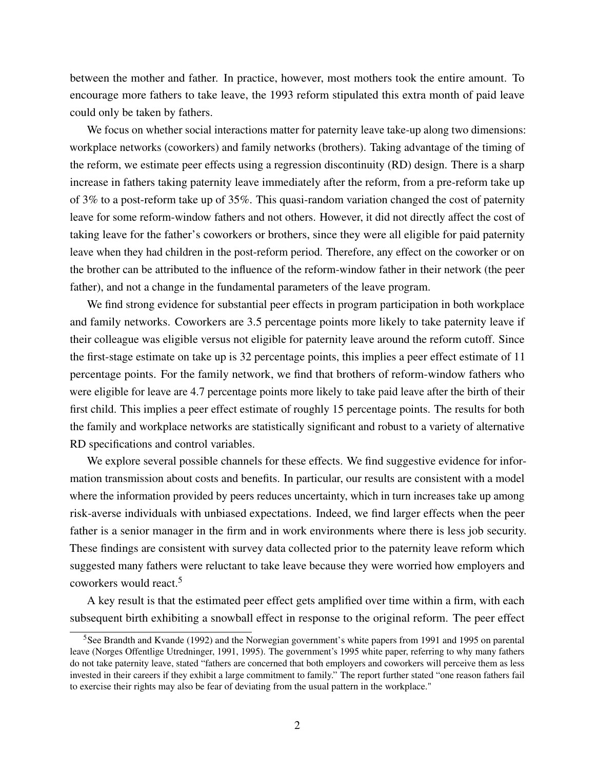between the mother and father. In practice, however, most mothers took the entire amount. To encourage more fathers to take leave, the 1993 reform stipulated this extra month of paid leave could only be taken by fathers.

We focus on whether social interactions matter for paternity leave take-up along two dimensions: workplace networks (coworkers) and family networks (brothers). Taking advantage of the timing of the reform, we estimate peer effects using a regression discontinuity (RD) design. There is a sharp increase in fathers taking paternity leave immediately after the reform, from a pre-reform take up of 3% to a post-reform take up of 35%. This quasi-random variation changed the cost of paternity leave for some reform-window fathers and not others. However, it did not directly affect the cost of taking leave for the father's coworkers or brothers, since they were all eligible for paid paternity leave when they had children in the post-reform period. Therefore, any effect on the coworker or on the brother can be attributed to the influence of the reform-window father in their network (the peer father), and not a change in the fundamental parameters of the leave program.

We find strong evidence for substantial peer effects in program participation in both workplace and family networks. Coworkers are 3.5 percentage points more likely to take paternity leave if their colleague was eligible versus not eligible for paternity leave around the reform cutoff. Since the first-stage estimate on take up is 32 percentage points, this implies a peer effect estimate of 11 percentage points. For the family network, we find that brothers of reform-window fathers who were eligible for leave are 4.7 percentage points more likely to take paid leave after the birth of their first child. This implies a peer effect estimate of roughly 15 percentage points. The results for both the family and workplace networks are statistically significant and robust to a variety of alternative RD specifications and control variables.

We explore several possible channels for these effects. We find suggestive evidence for information transmission about costs and benefits. In particular, our results are consistent with a model where the information provided by peers reduces uncertainty, which in turn increases take up among risk-averse individuals with unbiased expectations. Indeed, we find larger effects when the peer father is a senior manager in the firm and in work environments where there is less job security. These findings are consistent with survey data collected prior to the paternity leave reform which suggested many fathers were reluctant to take leave because they were worried how employers and coworkers would react.[5](#page-2-0)

A key result is that the estimated peer effect gets amplified over time within a firm, with each subsequent birth exhibiting a snowball effect in response to the original reform. The peer effect

<span id="page-2-0"></span><sup>5</sup>See Brandth and Kvande (1992) and the Norwegian government's white papers from 1991 and 1995 on parental leave (Norges Offentlige Utredninger, 1991, 1995). The government's 1995 white paper, referring to why many fathers do not take paternity leave, stated "fathers are concerned that both employers and coworkers will perceive them as less invested in their careers if they exhibit a large commitment to family." The report further stated "one reason fathers fail to exercise their rights may also be fear of deviating from the usual pattern in the workplace."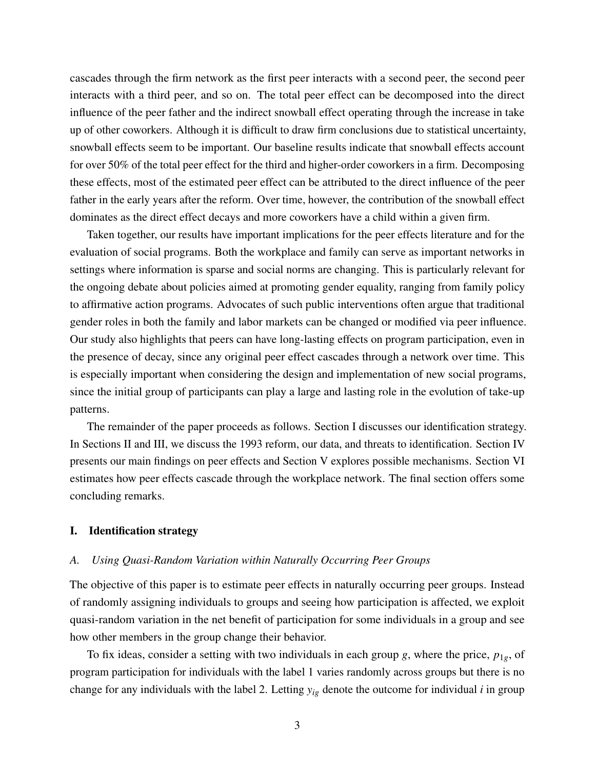cascades through the firm network as the first peer interacts with a second peer, the second peer interacts with a third peer, and so on. The total peer effect can be decomposed into the direct influence of the peer father and the indirect snowball effect operating through the increase in take up of other coworkers. Although it is difficult to draw firm conclusions due to statistical uncertainty, snowball effects seem to be important. Our baseline results indicate that snowball effects account for over 50% of the total peer effect for the third and higher-order coworkers in a firm. Decomposing these effects, most of the estimated peer effect can be attributed to the direct influence of the peer father in the early years after the reform. Over time, however, the contribution of the snowball effect dominates as the direct effect decays and more coworkers have a child within a given firm.

Taken together, our results have important implications for the peer effects literature and for the evaluation of social programs. Both the workplace and family can serve as important networks in settings where information is sparse and social norms are changing. This is particularly relevant for the ongoing debate about policies aimed at promoting gender equality, ranging from family policy to affirmative action programs. Advocates of such public interventions often argue that traditional gender roles in both the family and labor markets can be changed or modified via peer influence. Our study also highlights that peers can have long-lasting effects on program participation, even in the presence of decay, since any original peer effect cascades through a network over time. This is especially important when considering the design and implementation of new social programs, since the initial group of participants can play a large and lasting role in the evolution of take-up patterns.

The remainder of the paper proceeds as follows. Section I discusses our identification strategy. In Sections II and III, we discuss the 1993 reform, our data, and threats to identification. Section IV presents our main findings on peer effects and Section V explores possible mechanisms. Section VI estimates how peer effects cascade through the workplace network. The final section offers some concluding remarks.

### I. Identification strategy

### *A. Using Quasi-Random Variation within Naturally Occurring Peer Groups*

The objective of this paper is to estimate peer effects in naturally occurring peer groups. Instead of randomly assigning individuals to groups and seeing how participation is affected, we exploit quasi-random variation in the net benefit of participation for some individuals in a group and see how other members in the group change their behavior.

To fix ideas, consider a setting with two individuals in each group *g*, where the price, *p*1*g*, of program participation for individuals with the label 1 varies randomly across groups but there is no change for any individuals with the label 2. Letting *yig* denote the outcome for individual *i* in group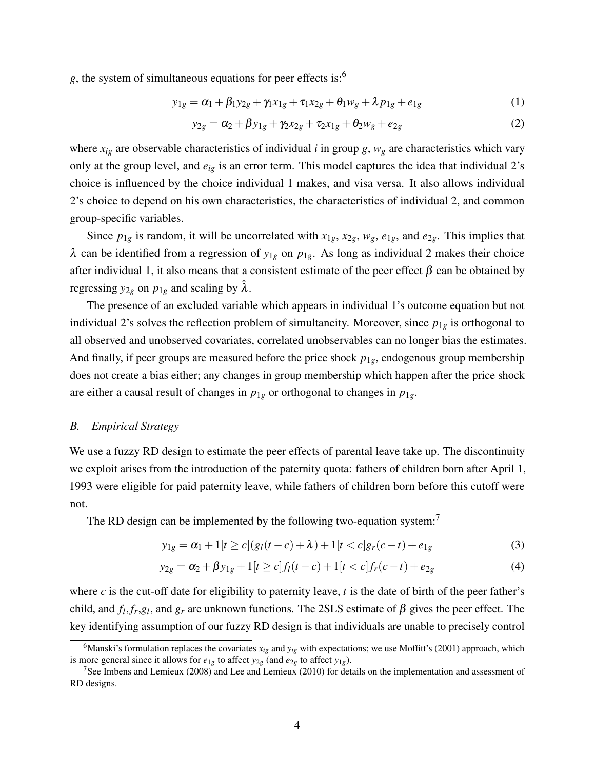*g*, the system of simultaneous equations for peer effects is:[6](#page-4-0)

$$
y_{1g} = \alpha_1 + \beta_1 y_{2g} + \gamma_1 x_{1g} + \tau_1 x_{2g} + \theta_1 w_g + \lambda p_{1g} + e_{1g}
$$
 (1)

$$
y_{2g} = \alpha_2 + \beta y_{1g} + \gamma_2 x_{2g} + \tau_2 x_{1g} + \theta_2 w_g + e_{2g}
$$
 (2)

where  $x_{ig}$  are observable characteristics of individual *i* in group *g*,  $w_g$  are characteristics which vary only at the group level, and *eig* is an error term. This model captures the idea that individual 2's choice is influenced by the choice individual 1 makes, and visa versa. It also allows individual 2's choice to depend on his own characteristics, the characteristics of individual 2, and common group-specific variables.

Since  $p_{1g}$  is random, it will be uncorrelated with  $x_{1g}$ ,  $x_{2g}$ ,  $w_g$ ,  $e_{1g}$ , and  $e_{2g}$ . This implies that  $λ$  can be identified from a regression of *y*<sub>1*g*</sub> on *p*<sub>1*g*</sub>. As long as individual 2 makes their choice after individual 1, it also means that a consistent estimate of the peer effect  $\beta$  can be obtained by regressing  $y_{2g}$  on  $p_{1g}$  and scaling by  $\hat{\lambda}$ .

The presence of an excluded variable which appears in individual 1's outcome equation but not individual 2's solves the reflection problem of simultaneity. Moreover, since *p*1*<sup>g</sup>* is orthogonal to all observed and unobserved covariates, correlated unobservables can no longer bias the estimates. And finally, if peer groups are measured before the price shock  $p_{1g}$ , endogenous group membership does not create a bias either; any changes in group membership which happen after the price shock are either a causal result of changes in  $p_{1g}$  or orthogonal to changes in  $p_{1g}$ .

### *B. Empirical Strategy*

We use a fuzzy RD design to estimate the peer effects of parental leave take up. The discontinuity we exploit arises from the introduction of the paternity quota: fathers of children born after April 1, 1993 were eligible for paid paternity leave, while fathers of children born before this cutoff were not.

The RD design can be implemented by the following two-equation system:<sup>[7](#page-4-1)</sup>

<span id="page-4-2"></span>
$$
y_{1g} = \alpha_1 + 1[t \ge c](g_l(t - c) + \lambda) + 1[t < c]g_r(c - t) + e_{1g} \tag{3}
$$

$$
y_{2g} = \alpha_2 + \beta y_{1g} + 1[t \ge c] f_l(t - c) + 1[t < c] f_r(c - t) + e_{2g}
$$
\n(4)

where *c* is the cut-off date for eligibility to paternity leave, *t* is the date of birth of the peer father's child, and  $f_l$ ,  $f_r$ ,  $g_l$ , and  $g_r$  are unknown functions. The 2SLS estimate of  $\beta$  gives the peer effect. The key identifying assumption of our fuzzy RD design is that individuals are unable to precisely control

<span id="page-4-0"></span><sup>&</sup>lt;sup>6</sup>Manski's formulation replaces the covariates  $x_{i}$  and  $y_{i}$  with expectations; we use Moffitt's (2001) approach, which is more general since it allows for  $e_{1g}$  to affect  $y_{2g}$  (and  $e_{2g}$  to affect  $y_{1g}$ ).

<span id="page-4-1"></span><sup>&</sup>lt;sup>7</sup>See Imbens and Lemieux (2008) and Lee and Lemieux (2010) for details on the implementation and assessment of RD designs.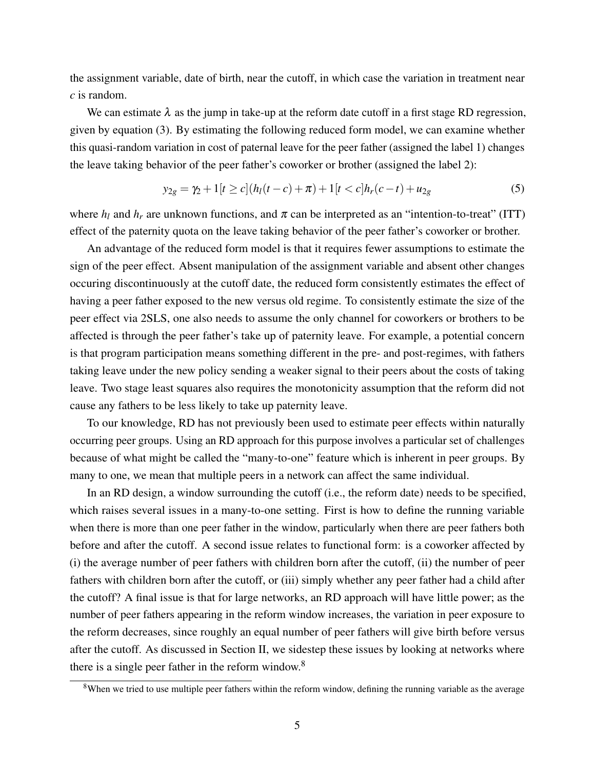the assignment variable, date of birth, near the cutoff, in which case the variation in treatment near *c* is random.

We can estimate  $\lambda$  as the jump in take-up at the reform date cutoff in a first stage RD regression, given by equation [\(3\)](#page-4-2). By estimating the following reduced form model, we can examine whether this quasi-random variation in cost of paternal leave for the peer father (assigned the label 1) changes the leave taking behavior of the peer father's coworker or brother (assigned the label 2):

$$
y_{2g} = \gamma_2 + 1[t \ge c](h_l(t - c) + \pi) + 1[t < c]h_r(c - t) + u_{2g}
$$
\n<sup>(5)</sup>

where  $h_l$  and  $h_r$  are unknown functions, and  $\pi$  can be interpreted as an "intention-to-treat" (ITT) effect of the paternity quota on the leave taking behavior of the peer father's coworker or brother.

An advantage of the reduced form model is that it requires fewer assumptions to estimate the sign of the peer effect. Absent manipulation of the assignment variable and absent other changes occuring discontinuously at the cutoff date, the reduced form consistently estimates the effect of having a peer father exposed to the new versus old regime. To consistently estimate the size of the peer effect via 2SLS, one also needs to assume the only channel for coworkers or brothers to be affected is through the peer father's take up of paternity leave. For example, a potential concern is that program participation means something different in the pre- and post-regimes, with fathers taking leave under the new policy sending a weaker signal to their peers about the costs of taking leave. Two stage least squares also requires the monotonicity assumption that the reform did not cause any fathers to be less likely to take up paternity leave.

To our knowledge, RD has not previously been used to estimate peer effects within naturally occurring peer groups. Using an RD approach for this purpose involves a particular set of challenges because of what might be called the "many-to-one" feature which is inherent in peer groups. By many to one, we mean that multiple peers in a network can affect the same individual.

In an RD design, a window surrounding the cutoff (i.e., the reform date) needs to be specified, which raises several issues in a many-to-one setting. First is how to define the running variable when there is more than one peer father in the window, particularly when there are peer fathers both before and after the cutoff. A second issue relates to functional form: is a coworker affected by (i) the average number of peer fathers with children born after the cutoff, (ii) the number of peer fathers with children born after the cutoff, or (iii) simply whether any peer father had a child after the cutoff? A final issue is that for large networks, an RD approach will have little power; as the number of peer fathers appearing in the reform window increases, the variation in peer exposure to the reform decreases, since roughly an equal number of peer fathers will give birth before versus after the cutoff. As discussed in Section II, we sidestep these issues by looking at networks where there is a single peer father in the reform window.<sup>[8](#page-5-0)</sup>

<span id="page-5-0"></span><sup>&</sup>lt;sup>8</sup>When we tried to use multiple peer fathers within the reform window, defining the running variable as the average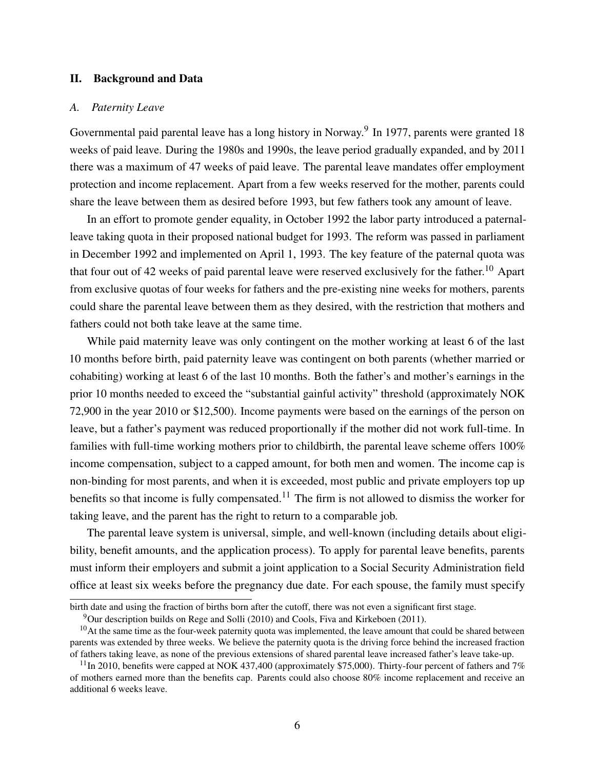## II. Background and Data

### *A. Paternity Leave*

Governmental paid parental leave has a long history in Norway.<sup>[9](#page-6-0)</sup> In 1977, parents were granted 18 weeks of paid leave. During the 1980s and 1990s, the leave period gradually expanded, and by 2011 there was a maximum of 47 weeks of paid leave. The parental leave mandates offer employment protection and income replacement. Apart from a few weeks reserved for the mother, parents could share the leave between them as desired before 1993, but few fathers took any amount of leave.

In an effort to promote gender equality, in October 1992 the labor party introduced a paternalleave taking quota in their proposed national budget for 1993. The reform was passed in parliament in December 1992 and implemented on April 1, 1993. The key feature of the paternal quota was that four out of 42 weeks of paid parental leave were reserved exclusively for the father.<sup>[10](#page-6-1)</sup> Apart from exclusive quotas of four weeks for fathers and the pre-existing nine weeks for mothers, parents could share the parental leave between them as they desired, with the restriction that mothers and fathers could not both take leave at the same time.

While paid maternity leave was only contingent on the mother working at least 6 of the last 10 months before birth, paid paternity leave was contingent on both parents (whether married or cohabiting) working at least 6 of the last 10 months. Both the father's and mother's earnings in the prior 10 months needed to exceed the "substantial gainful activity" threshold (approximately NOK 72,900 in the year 2010 or \$12,500). Income payments were based on the earnings of the person on leave, but a father's payment was reduced proportionally if the mother did not work full-time. In families with full-time working mothers prior to childbirth, the parental leave scheme offers 100% income compensation, subject to a capped amount, for both men and women. The income cap is non-binding for most parents, and when it is exceeded, most public and private employers top up benefits so that income is fully compensated.<sup>[11](#page-6-2)</sup> The firm is not allowed to dismiss the worker for taking leave, and the parent has the right to return to a comparable job.

The parental leave system is universal, simple, and well-known (including details about eligibility, benefit amounts, and the application process). To apply for parental leave benefits, parents must inform their employers and submit a joint application to a Social Security Administration field office at least six weeks before the pregnancy due date. For each spouse, the family must specify

birth date and using the fraction of births born after the cutoff, there was not even a significant first stage.

<span id="page-6-1"></span><span id="page-6-0"></span> $9$ Our description builds on Rege and Solli (2010) and Cools, Fiva and Kirkeboen (2011).

 $10$ At the same time as the four-week paternity quota was implemented, the leave amount that could be shared between parents was extended by three weeks. We believe the paternity quota is the driving force behind the increased fraction of fathers taking leave, as none of the previous extensions of shared parental leave increased father's leave take-up.

<span id="page-6-2"></span><sup>&</sup>lt;sup>11</sup>In 2010, benefits were capped at NOK 437,400 (approximately \$75,000). Thirty-four percent of fathers and 7% of mothers earned more than the benefits cap. Parents could also choose 80% income replacement and receive an additional 6 weeks leave.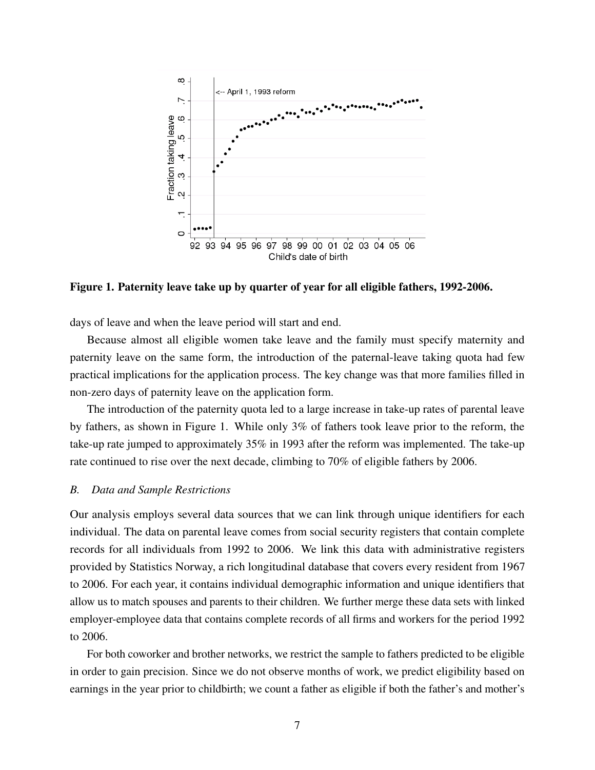<span id="page-7-0"></span>

Figure 1. Paternity leave take up by quarter of year for all eligible fathers, 1992-2006.

days of leave and when the leave period will start and end.

Because almost all eligible women take leave and the family must specify maternity and paternity leave on the same form, the introduction of the paternal-leave taking quota had few practical implications for the application process. The key change was that more families filled in non-zero days of paternity leave on the application form.

The introduction of the paternity quota led to a large increase in take-up rates of parental leave by fathers, as shown in Figure [1.](#page-7-0) While only 3% of fathers took leave prior to the reform, the take-up rate jumped to approximately 35% in 1993 after the reform was implemented. The take-up rate continued to rise over the next decade, climbing to 70% of eligible fathers by 2006.

### *B. Data and Sample Restrictions*

Our analysis employs several data sources that we can link through unique identifiers for each individual. The data on parental leave comes from social security registers that contain complete records for all individuals from 1992 to 2006. We link this data with administrative registers provided by Statistics Norway, a rich longitudinal database that covers every resident from 1967 to 2006. For each year, it contains individual demographic information and unique identifiers that allow us to match spouses and parents to their children. We further merge these data sets with linked employer-employee data that contains complete records of all firms and workers for the period 1992 to 2006.

For both coworker and brother networks, we restrict the sample to fathers predicted to be eligible in order to gain precision. Since we do not observe months of work, we predict eligibility based on earnings in the year prior to childbirth; we count a father as eligible if both the father's and mother's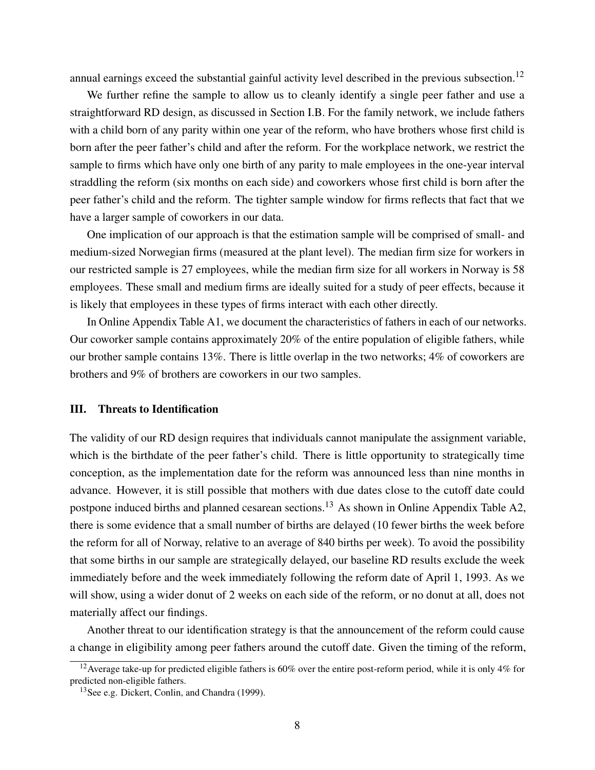annual earnings exceed the substantial gainful activity level described in the previous subsection.<sup>[12](#page-8-0)</sup>

We further refine the sample to allow us to cleanly identify a single peer father and use a straightforward RD design, as discussed in Section I.B. For the family network, we include fathers with a child born of any parity within one year of the reform, who have brothers whose first child is born after the peer father's child and after the reform. For the workplace network, we restrict the sample to firms which have only one birth of any parity to male employees in the one-year interval straddling the reform (six months on each side) and coworkers whose first child is born after the peer father's child and the reform. The tighter sample window for firms reflects that fact that we have a larger sample of coworkers in our data.

One implication of our approach is that the estimation sample will be comprised of small- and medium-sized Norwegian firms (measured at the plant level). The median firm size for workers in our restricted sample is 27 employees, while the median firm size for all workers in Norway is 58 employees. These small and medium firms are ideally suited for a study of peer effects, because it is likely that employees in these types of firms interact with each other directly.

In Online Appendix Table A1, we document the characteristics of fathers in each of our networks. Our coworker sample contains approximately 20% of the entire population of eligible fathers, while our brother sample contains 13%. There is little overlap in the two networks; 4% of coworkers are brothers and 9% of brothers are coworkers in our two samples.

### III. Threats to Identification

The validity of our RD design requires that individuals cannot manipulate the assignment variable, which is the birthdate of the peer father's child. There is little opportunity to strategically time conception, as the implementation date for the reform was announced less than nine months in advance. However, it is still possible that mothers with due dates close to the cutoff date could postpone induced births and planned cesarean sections.<sup>[13](#page-8-1)</sup> As shown in Online Appendix Table A2, there is some evidence that a small number of births are delayed (10 fewer births the week before the reform for all of Norway, relative to an average of 840 births per week). To avoid the possibility that some births in our sample are strategically delayed, our baseline RD results exclude the week immediately before and the week immediately following the reform date of April 1, 1993. As we will show, using a wider donut of 2 weeks on each side of the reform, or no donut at all, does not materially affect our findings.

Another threat to our identification strategy is that the announcement of the reform could cause a change in eligibility among peer fathers around the cutoff date. Given the timing of the reform,

<span id="page-8-0"></span><sup>&</sup>lt;sup>12</sup> Average take-up for predicted eligible fathers is 60% over the entire post-reform period, while it is only 4% for predicted non-eligible fathers.

<span id="page-8-1"></span><sup>13</sup>See e.g. Dickert, Conlin, and Chandra (1999).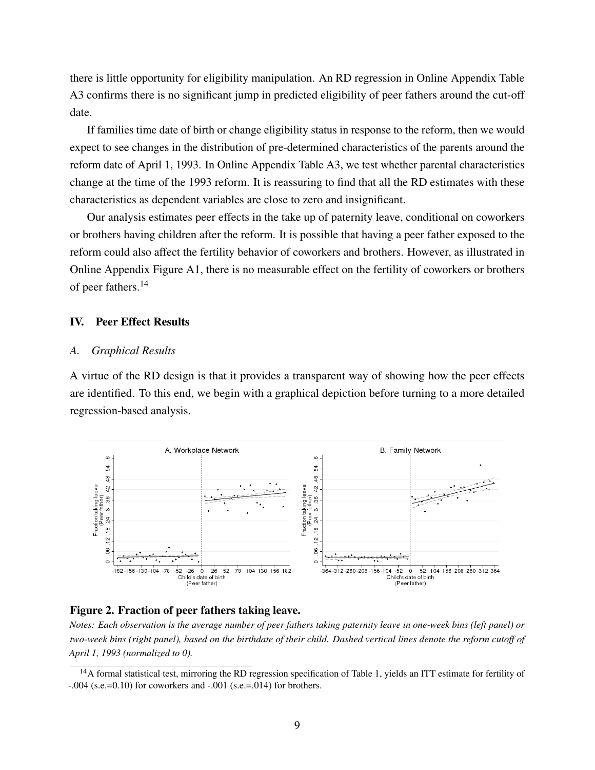there is little opportunity for eligibility manipulation. An RD regression in Online Appendix Table A3 confirms there is no significant jump in predicted eligibility of peer fathers around the cut-off date.

If families time date of birth or change eligibility status in response to the reform, then we would expect to see changes in the distribution of pre-determined characteristics of the parents around the reform date of April 1, 1993. In Online Appendix Table A3, we test whether parental characteristics change at the time of the 1993 reform. It is reassuring to find that all the RD estimates with these characteristics as dependent variables are close to zero and insignificant.

Our analysis estimates peer effects in the take up of paternity leave, conditional on coworkers or brothers having children after the reform. It is possible that having a peer father exposed to the reform could also affect the fertility behavior of coworkers and brothers. However, as illustrated in Online Appendix Figure A1, there is no measurable effect on the fertility of coworkers or brothers of peer fathers.<sup>[14](#page-9-0)</sup>

# IV. Peer Effect Results

### *A. Graphical Results*

A virtue of the RD design is that it provides a transparent way of showing how the peer effects are identified. To this end, we begin with a graphical depiction before turning to a more detailed regression-based analysis.

<span id="page-9-1"></span>

### Figure 2. Fraction of peer fathers taking leave.

*Notes: Each observation is the average number of peer fathers taking paternity leave in one-week bins (left panel) or two-week bins (right panel), based on the birthdate of their child. Dashed vertical lines denote the reform cutoff of April 1, 1993 (normalized to 0).*

<span id="page-9-0"></span><sup>&</sup>lt;sup>14</sup>A formal statistical test, mirroring the RD regression specification of Table [1,](#page-12-0) yields an ITT estimate for fertility of  $-.004$  (s.e.=0.10) for coworkers and  $-.001$  (s.e.=.014) for brothers.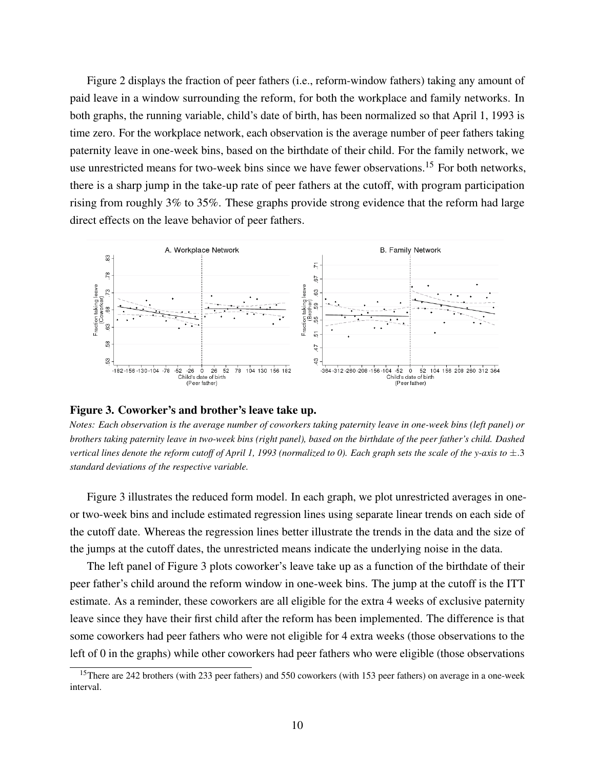Figure [2](#page-9-1) displays the fraction of peer fathers (i.e., reform-window fathers) taking any amount of paid leave in a window surrounding the reform, for both the workplace and family networks. In both graphs, the running variable, child's date of birth, has been normalized so that April 1, 1993 is time zero. For the workplace network, each observation is the average number of peer fathers taking paternity leave in one-week bins, based on the birthdate of their child. For the family network, we use unrestricted means for two-week bins since we have fewer observations.<sup>[15](#page-10-0)</sup> For both networks. there is a sharp jump in the take-up rate of peer fathers at the cutoff, with program participation rising from roughly 3% to 35%. These graphs provide strong evidence that the reform had large direct effects on the leave behavior of peer fathers.

<span id="page-10-1"></span>

#### Figure 3. Coworker's and brother's leave take up.

*Notes: Each observation is the average number of coworkers taking paternity leave in one-week bins (left panel) or brothers taking paternity leave in two-week bins (right panel), based on the birthdate of the peer father's child. Dashed vertical lines denote the reform cutoff of April 1, 1993 (normalized to 0). Each graph sets the scale of the y-axis to*  $\pm$ .3 *standard deviations of the respective variable.*

Figure [3](#page-10-1) illustrates the reduced form model. In each graph, we plot unrestricted averages in oneor two-week bins and include estimated regression lines using separate linear trends on each side of the cutoff date. Whereas the regression lines better illustrate the trends in the data and the size of the jumps at the cutoff dates, the unrestricted means indicate the underlying noise in the data.

The left panel of Figure [3](#page-10-1) plots coworker's leave take up as a function of the birthdate of their peer father's child around the reform window in one-week bins. The jump at the cutoff is the ITT estimate. As a reminder, these coworkers are all eligible for the extra 4 weeks of exclusive paternity leave since they have their first child after the reform has been implemented. The difference is that some coworkers had peer fathers who were not eligible for 4 extra weeks (those observations to the left of 0 in the graphs) while other coworkers had peer fathers who were eligible (those observations

<span id="page-10-0"></span><sup>&</sup>lt;sup>15</sup>There are 242 brothers (with 233 peer fathers) and 550 coworkers (with 153 peer fathers) on average in a one-week interval.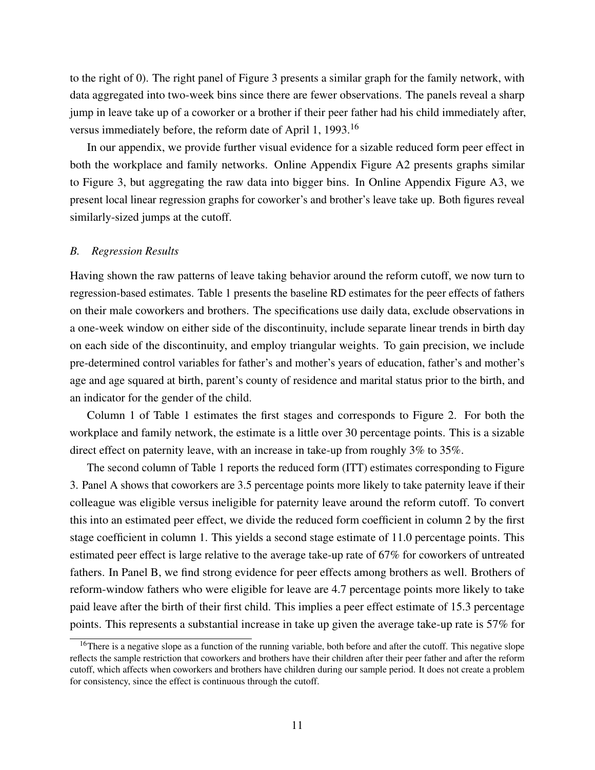to the right of 0). The right panel of Figure [3](#page-10-1) presents a similar graph for the family network, with data aggregated into two-week bins since there are fewer observations. The panels reveal a sharp jump in leave take up of a coworker or a brother if their peer father had his child immediately after, versus immediately before, the reform date of April 1, 1993.[16](#page-11-0)

In our appendix, we provide further visual evidence for a sizable reduced form peer effect in both the workplace and family networks. Online Appendix Figure A2 presents graphs similar to Figure [3,](#page-10-1) but aggregating the raw data into bigger bins. In Online Appendix Figure A3, we present local linear regression graphs for coworker's and brother's leave take up. Both figures reveal similarly-sized jumps at the cutoff.

### *B. Regression Results*

Having shown the raw patterns of leave taking behavior around the reform cutoff, we now turn to regression-based estimates. Table [1](#page-12-0) presents the baseline RD estimates for the peer effects of fathers on their male coworkers and brothers. The specifications use daily data, exclude observations in a one-week window on either side of the discontinuity, include separate linear trends in birth day on each side of the discontinuity, and employ triangular weights. To gain precision, we include pre-determined control variables for father's and mother's years of education, father's and mother's age and age squared at birth, parent's county of residence and marital status prior to the birth, and an indicator for the gender of the child.

Column 1 of Table [1](#page-12-0) estimates the first stages and corresponds to Figure [2.](#page-9-1) For both the workplace and family network, the estimate is a little over 30 percentage points. This is a sizable direct effect on paternity leave, with an increase in take-up from roughly 3% to 35%.

The second column of Table [1](#page-12-0) reports the reduced form (ITT) estimates corresponding to Figure [3.](#page-10-1) Panel A shows that coworkers are 3.5 percentage points more likely to take paternity leave if their colleague was eligible versus ineligible for paternity leave around the reform cutoff. To convert this into an estimated peer effect, we divide the reduced form coefficient in column 2 by the first stage coefficient in column 1. This yields a second stage estimate of 11.0 percentage points. This estimated peer effect is large relative to the average take-up rate of 67% for coworkers of untreated fathers. In Panel B, we find strong evidence for peer effects among brothers as well. Brothers of reform-window fathers who were eligible for leave are 4.7 percentage points more likely to take paid leave after the birth of their first child. This implies a peer effect estimate of 15.3 percentage points. This represents a substantial increase in take up given the average take-up rate is 57% for

<span id="page-11-0"></span><sup>&</sup>lt;sup>16</sup>There is a negative slope as a function of the running variable, both before and after the cutoff. This negative slope reflects the sample restriction that coworkers and brothers have their children after their peer father and after the reform cutoff, which affects when coworkers and brothers have children during our sample period. It does not create a problem for consistency, since the effect is continuous through the cutoff.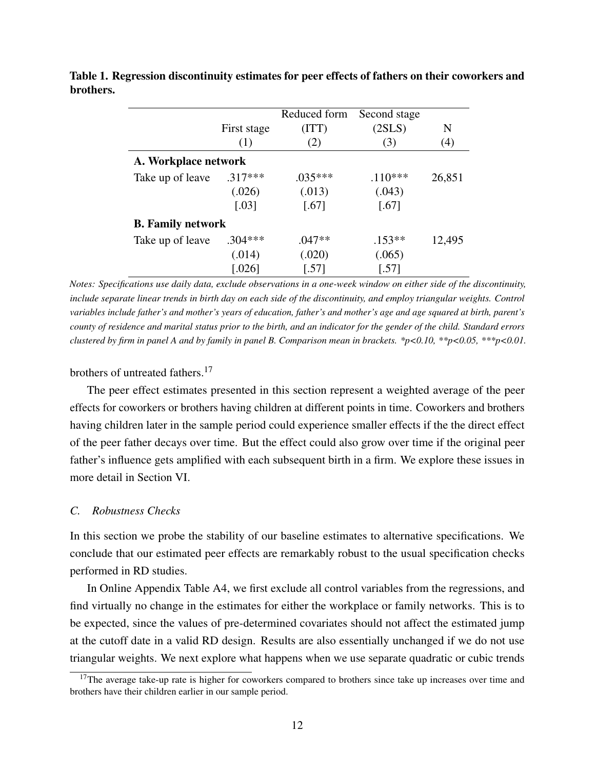|                          |                      | Reduced form        | Second stage        |        |
|--------------------------|----------------------|---------------------|---------------------|--------|
|                          | First stage          | (TTT)               | (2SLS)              | N      |
|                          | (1)                  | (2)                 | (3)                 | (4)    |
| A. Workplace network     |                      |                     |                     |        |
| Take up of leave         | $.317***$            | $.035***$           | $.110***$           | 26,851 |
|                          | (.026)               | (.013)              | (.043)              |        |
|                          | $\left[ .03 \right]$ | $\left[ .67\right]$ | $\left[ .67\right]$ |        |
| <b>B.</b> Family network |                      |                     |                     |        |
| Take up of leave         | $.304***$            | $.047**$            | $.153**$            | 12,495 |
|                          | (.014)               | (.020)              | (.065)              |        |
|                          | 0.0261               | [.57]               | .571                |        |

<span id="page-12-0"></span>Table 1. Regression discontinuity estimates for peer effects of fathers on their coworkers and brothers.

*Notes: Specifications use daily data, exclude observations in a one-week window on either side of the discontinuity, include separate linear trends in birth day on each side of the discontinuity, and employ triangular weights. Control variables include father's and mother's years of education, father's and mother's age and age squared at birth, parent's county of residence and marital status prior to the birth, and an indicator for the gender of the child. Standard errors clustered by firm in panel A and by family in panel B. Comparison mean in brackets. \*p<0.10, \*\*p<0.05, \*\*\*p<0.01.*

# brothers of untreated fathers.<sup>[17](#page-12-1)</sup>

The peer effect estimates presented in this section represent a weighted average of the peer effects for coworkers or brothers having children at different points in time. Coworkers and brothers having children later in the sample period could experience smaller effects if the the direct effect of the peer father decays over time. But the effect could also grow over time if the original peer father's influence gets amplified with each subsequent birth in a firm. We explore these issues in more detail in Section VI.

# *C. Robustness Checks*

In this section we probe the stability of our baseline estimates to alternative specifications. We conclude that our estimated peer effects are remarkably robust to the usual specification checks performed in RD studies.

In Online Appendix Table A4, we first exclude all control variables from the regressions, and find virtually no change in the estimates for either the workplace or family networks. This is to be expected, since the values of pre-determined covariates should not affect the estimated jump at the cutoff date in a valid RD design. Results are also essentially unchanged if we do not use triangular weights. We next explore what happens when we use separate quadratic or cubic trends

<span id="page-12-1"></span> $17$ The average take-up rate is higher for coworkers compared to brothers since take up increases over time and brothers have their children earlier in our sample period.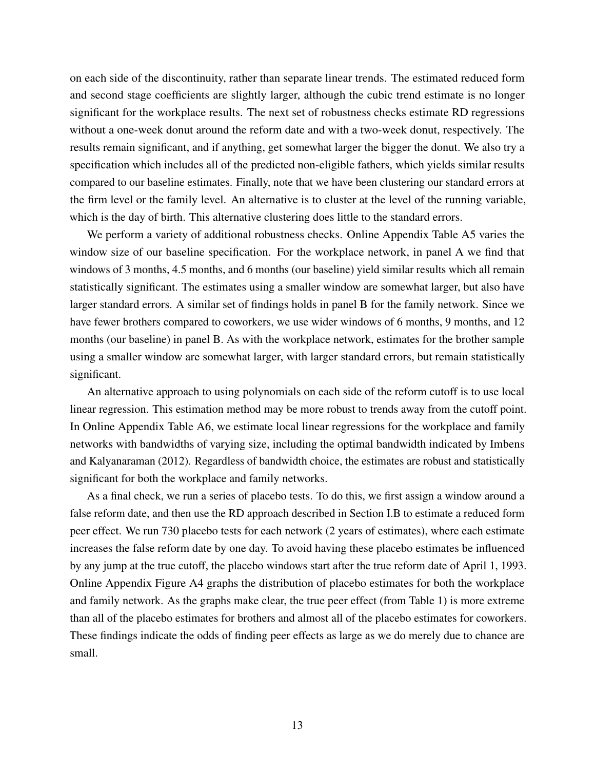on each side of the discontinuity, rather than separate linear trends. The estimated reduced form and second stage coefficients are slightly larger, although the cubic trend estimate is no longer significant for the workplace results. The next set of robustness checks estimate RD regressions without a one-week donut around the reform date and with a two-week donut, respectively. The results remain significant, and if anything, get somewhat larger the bigger the donut. We also try a specification which includes all of the predicted non-eligible fathers, which yields similar results compared to our baseline estimates. Finally, note that we have been clustering our standard errors at the firm level or the family level. An alternative is to cluster at the level of the running variable, which is the day of birth. This alternative clustering does little to the standard errors.

We perform a variety of additional robustness checks. Online Appendix Table A5 varies the window size of our baseline specification. For the workplace network, in panel A we find that windows of 3 months, 4.5 months, and 6 months (our baseline) yield similar results which all remain statistically significant. The estimates using a smaller window are somewhat larger, but also have larger standard errors. A similar set of findings holds in panel B for the family network. Since we have fewer brothers compared to coworkers, we use wider windows of 6 months, 9 months, and 12 months (our baseline) in panel B. As with the workplace network, estimates for the brother sample using a smaller window are somewhat larger, with larger standard errors, but remain statistically significant.

An alternative approach to using polynomials on each side of the reform cutoff is to use local linear regression. This estimation method may be more robust to trends away from the cutoff point. In Online Appendix Table A6, we estimate local linear regressions for the workplace and family networks with bandwidths of varying size, including the optimal bandwidth indicated by Imbens and Kalyanaraman (2012). Regardless of bandwidth choice, the estimates are robust and statistically significant for both the workplace and family networks.

As a final check, we run a series of placebo tests. To do this, we first assign a window around a false reform date, and then use the RD approach described in Section I.B to estimate a reduced form peer effect. We run 730 placebo tests for each network (2 years of estimates), where each estimate increases the false reform date by one day. To avoid having these placebo estimates be influenced by any jump at the true cutoff, the placebo windows start after the true reform date of April 1, 1993. Online Appendix Figure A4 graphs the distribution of placebo estimates for both the workplace and family network. As the graphs make clear, the true peer effect (from Table [1\)](#page-12-0) is more extreme than all of the placebo estimates for brothers and almost all of the placebo estimates for coworkers. These findings indicate the odds of finding peer effects as large as we do merely due to chance are small.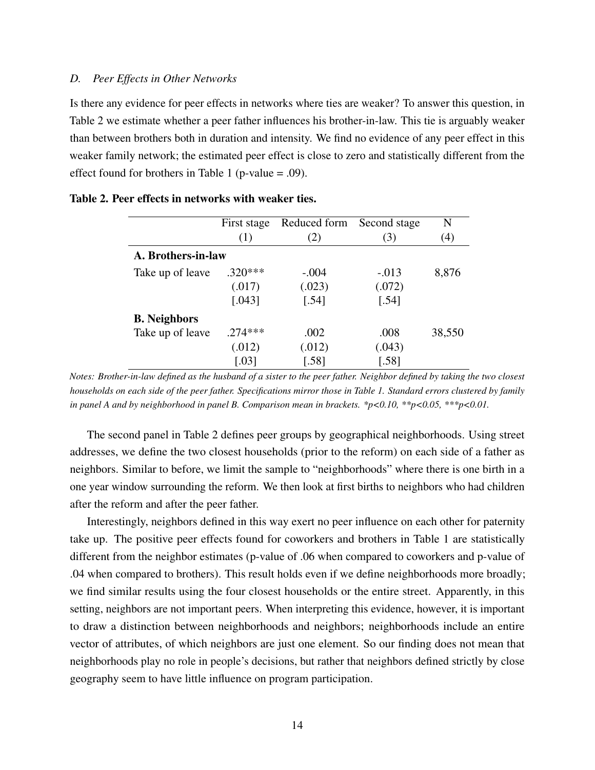#### *D. Peer Effects in Other Networks*

Is there any evidence for peer effects in networks where ties are weaker? To answer this question, in Table [2](#page-14-0) we estimate whether a peer father influences his brother-in-law. This tie is arguably weaker than between brothers both in duration and intensity. We find no evidence of any peer effect in this weaker family network; the estimated peer effect is close to zero and statistically different from the effect found for brothers in Table [1](#page-12-0) (p-value  $= .09$ ).

|                     | First stage          | Reduced form | Second stage | N      |  |
|---------------------|----------------------|--------------|--------------|--------|--|
|                     | (1)                  | (2)          | (3)          | (4)    |  |
| A. Brothers-in-law  |                      |              |              |        |  |
| Take up of leave    | $.320***$            | $-.004$      | $-.013$      | 8,876  |  |
|                     | (.017)               | (.023)       | (.072)       |        |  |
|                     | [.043]               | [.54]        | [.54]        |        |  |
| <b>B.</b> Neighbors |                      |              |              |        |  |
| Take up of leave    | $274***$             | .002         | .008         | 38,550 |  |
|                     | (.012)               | (.012)       | (.043)       |        |  |
|                     | $\left[ .03 \right]$ | [.58]        | $[.58]$      |        |  |

<span id="page-14-0"></span>

| Table 2. Peer effects in networks with weaker ties. |  |  |  |  |  |
|-----------------------------------------------------|--|--|--|--|--|
|-----------------------------------------------------|--|--|--|--|--|

*Notes: Brother-in-law defined as the husband of a sister to the peer father. Neighbor defined by taking the two closest households on each side of the peer father. Specifications mirror those in Table [1.](#page-12-0) Standard errors clustered by family in panel A and by neighborhood in panel B. Comparison mean in brackets. \*p<0.10, \*\*p<0.05, \*\*\*p<0.01.*

The second panel in Table [2](#page-14-0) defines peer groups by geographical neighborhoods. Using street addresses, we define the two closest households (prior to the reform) on each side of a father as neighbors. Similar to before, we limit the sample to "neighborhoods" where there is one birth in a one year window surrounding the reform. We then look at first births to neighbors who had children after the reform and after the peer father.

Interestingly, neighbors defined in this way exert no peer influence on each other for paternity take up. The positive peer effects found for coworkers and brothers in Table [1](#page-12-0) are statistically different from the neighbor estimates (p-value of .06 when compared to coworkers and p-value of .04 when compared to brothers). This result holds even if we define neighborhoods more broadly; we find similar results using the four closest households or the entire street. Apparently, in this setting, neighbors are not important peers. When interpreting this evidence, however, it is important to draw a distinction between neighborhoods and neighbors; neighborhoods include an entire vector of attributes, of which neighbors are just one element. So our finding does not mean that neighborhoods play no role in people's decisions, but rather that neighbors defined strictly by close geography seem to have little influence on program participation.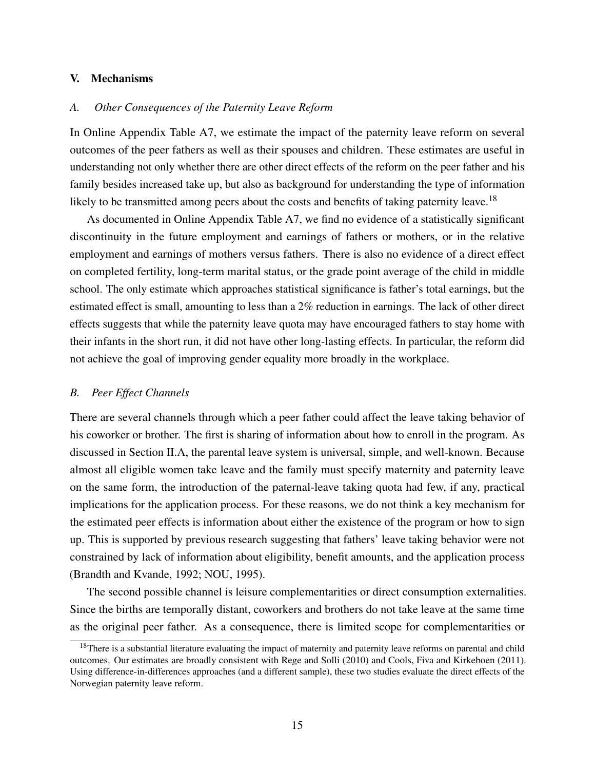# V. Mechanisms

# *A. Other Consequences of the Paternity Leave Reform*

In Online Appendix Table A7, we estimate the impact of the paternity leave reform on several outcomes of the peer fathers as well as their spouses and children. These estimates are useful in understanding not only whether there are other direct effects of the reform on the peer father and his family besides increased take up, but also as background for understanding the type of information likely to be transmitted among peers about the costs and benefits of taking paternity leave.<sup>[18](#page-15-0)</sup>

As documented in Online Appendix Table A7, we find no evidence of a statistically significant discontinuity in the future employment and earnings of fathers or mothers, or in the relative employment and earnings of mothers versus fathers. There is also no evidence of a direct effect on completed fertility, long-term marital status, or the grade point average of the child in middle school. The only estimate which approaches statistical significance is father's total earnings, but the estimated effect is small, amounting to less than a 2% reduction in earnings. The lack of other direct effects suggests that while the paternity leave quota may have encouraged fathers to stay home with their infants in the short run, it did not have other long-lasting effects. In particular, the reform did not achieve the goal of improving gender equality more broadly in the workplace.

#### *B. Peer Effect Channels*

There are several channels through which a peer father could affect the leave taking behavior of his coworker or brother. The first is sharing of information about how to enroll in the program. As discussed in Section II.A, the parental leave system is universal, simple, and well-known. Because almost all eligible women take leave and the family must specify maternity and paternity leave on the same form, the introduction of the paternal-leave taking quota had few, if any, practical implications for the application process. For these reasons, we do not think a key mechanism for the estimated peer effects is information about either the existence of the program or how to sign up. This is supported by previous research suggesting that fathers' leave taking behavior were not constrained by lack of information about eligibility, benefit amounts, and the application process (Brandth and Kvande, 1992; NOU, 1995).

The second possible channel is leisure complementarities or direct consumption externalities. Since the births are temporally distant, coworkers and brothers do not take leave at the same time as the original peer father. As a consequence, there is limited scope for complementarities or

<span id="page-15-0"></span><sup>&</sup>lt;sup>18</sup>There is a substantial literature evaluating the impact of maternity and paternity leave reforms on parental and child outcomes. Our estimates are broadly consistent with Rege and Solli (2010) and Cools, Fiva and Kirkeboen (2011). Using difference-in-differences approaches (and a different sample), these two studies evaluate the direct effects of the Norwegian paternity leave reform.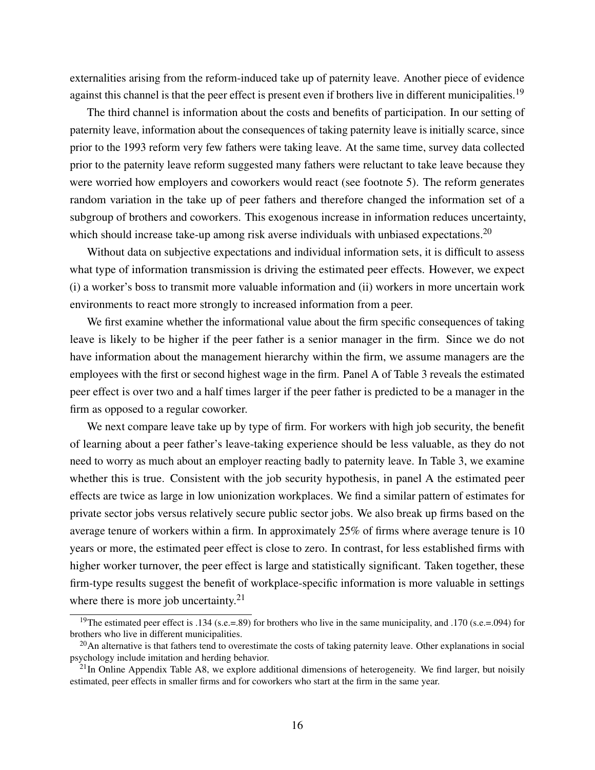externalities arising from the reform-induced take up of paternity leave. Another piece of evidence against this channel is that the peer effect is present even if brothers live in different municipalities.<sup>[19](#page-16-0)</sup>

The third channel is information about the costs and benefits of participation. In our setting of paternity leave, information about the consequences of taking paternity leave is initially scarce, since prior to the 1993 reform very few fathers were taking leave. At the same time, survey data collected prior to the paternity leave reform suggested many fathers were reluctant to take leave because they were worried how employers and coworkers would react (see footnote [5\)](#page-2-0). The reform generates random variation in the take up of peer fathers and therefore changed the information set of a subgroup of brothers and coworkers. This exogenous increase in information reduces uncertainty, which should increase take-up among risk averse individuals with unbiased expectations.<sup>[20](#page-16-1)</sup>

Without data on subjective expectations and individual information sets, it is difficult to assess what type of information transmission is driving the estimated peer effects. However, we expect (i) a worker's boss to transmit more valuable information and (ii) workers in more uncertain work environments to react more strongly to increased information from a peer.

We first examine whether the informational value about the firm specific consequences of taking leave is likely to be higher if the peer father is a senior manager in the firm. Since we do not have information about the management hierarchy within the firm, we assume managers are the employees with the first or second highest wage in the firm. Panel A of Table [3](#page-17-0) reveals the estimated peer effect is over two and a half times larger if the peer father is predicted to be a manager in the firm as opposed to a regular coworker.

We next compare leave take up by type of firm. For workers with high job security, the benefit of learning about a peer father's leave-taking experience should be less valuable, as they do not need to worry as much about an employer reacting badly to paternity leave. In Table [3,](#page-17-0) we examine whether this is true. Consistent with the job security hypothesis, in panel A the estimated peer effects are twice as large in low unionization workplaces. We find a similar pattern of estimates for private sector jobs versus relatively secure public sector jobs. We also break up firms based on the average tenure of workers within a firm. In approximately 25% of firms where average tenure is 10 years or more, the estimated peer effect is close to zero. In contrast, for less established firms with higher worker turnover, the peer effect is large and statistically significant. Taken together, these firm-type results suggest the benefit of workplace-specific information is more valuable in settings where there is more job uncertainty. $2<sup>1</sup>$ 

<span id="page-16-0"></span><sup>&</sup>lt;sup>19</sup>The estimated peer effect is .134 (s.e.=.89) for brothers who live in the same municipality, and .170 (s.e.=.094) for brothers who live in different municipalities.

<span id="page-16-1"></span> $20$ An alternative is that fathers tend to overestimate the costs of taking paternity leave. Other explanations in social psychology include imitation and herding behavior.

<span id="page-16-2"></span> $^{21}$ In Online Appendix Table A8, we explore additional dimensions of heterogeneity. We find larger, but noisily estimated, peer effects in smaller firms and for coworkers who start at the firm in the same year.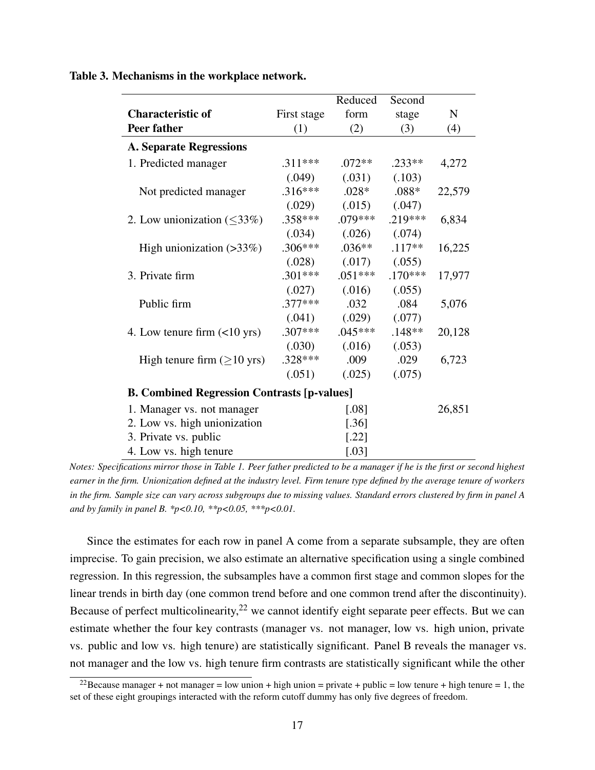|                                                    |             | Reduced   | Second    |             |  |
|----------------------------------------------------|-------------|-----------|-----------|-------------|--|
| <b>Characteristic of</b>                           | First stage | form      | stage     | $\mathbf N$ |  |
| Peer father                                        | (1)         | (2)       | (3)       | (4)         |  |
| <b>A. Separate Regressions</b>                     |             |           |           |             |  |
| 1. Predicted manager                               | $.311***$   | $.072**$  | $.233**$  | 4,272       |  |
|                                                    | (.049)      | (.031)    | (.103)    |             |  |
| Not predicted manager                              | $.316***$   | $.028*$   | $.088*$   | 22,579      |  |
|                                                    | (.029)      | (.015)    | (.047)    |             |  |
| 2. Low unionization $(\leq 33\%)$                  | $.358***$   | $.079***$ | $.219***$ | 6,834       |  |
|                                                    | (.034)      | (.026)    | (.074)    |             |  |
| High unionization $(>33\%)$                        | $.306***$   | $.036**$  | $.117**$  | 16,225      |  |
|                                                    | (.028)      | (.017)    | (.055)    |             |  |
| 3. Private firm                                    | $.301***$   | $.051***$ | $.170***$ | 17,977      |  |
|                                                    | (.027)      | (.016)    | (.055)    |             |  |
| Public firm                                        | $.377***$   | .032      | .084      | 5,076       |  |
|                                                    | (.041)      | (.029)    | (.077)    |             |  |
| 4. Low tenure firm $(\leq 10 \text{ yrs})$         | $.307***$   | $.045***$ | $.148**$  | 20,128      |  |
|                                                    | (.030)      | (.016)    | (.053)    |             |  |
| High tenure firm $(\geq 10 \text{ yrs})$           | $.328***$   | .009      | .029      | 6,723       |  |
|                                                    | (.051)      | (.025)    | (.075)    |             |  |
| <b>B. Combined Regression Contrasts [p-values]</b> |             |           |           |             |  |
| 1. Manager vs. not manager                         |             | $[.08]$   |           | 26,851      |  |
| 2. Low vs. high unionization                       |             | $[.36]$   |           |             |  |
| 3. Private vs. public                              |             | $[.22]$   |           |             |  |
| 4. Low vs. high tenure                             |             | $[.03]$   |           |             |  |

<span id="page-17-0"></span>Table 3. Mechanisms in the workplace network.

*Notes: Specifications mirror those in Table [1.](#page-12-0) Peer father predicted to be a manager if he is the first or second highest earner in the firm. Unionization defined at the industry level. Firm tenure type defined by the average tenure of workers in the firm. Sample size can vary across subgroups due to missing values. Standard errors clustered by firm in panel A and by family in panel B. \*p<0.10, \*\*p<0.05, \*\*\*p<0.01.*

Since the estimates for each row in panel A come from a separate subsample, they are often imprecise. To gain precision, we also estimate an alternative specification using a single combined regression. In this regression, the subsamples have a common first stage and common slopes for the linear trends in birth day (one common trend before and one common trend after the discontinuity). Because of perfect multicolinearity,  $2^2$  we cannot identify eight separate peer effects. But we can estimate whether the four key contrasts (manager vs. not manager, low vs. high union, private vs. public and low vs. high tenure) are statistically significant. Panel B reveals the manager vs. not manager and the low vs. high tenure firm contrasts are statistically significant while the other

<span id="page-17-1"></span><sup>&</sup>lt;sup>22</sup>Because manager + not manager = low union + high union = private + public = low tenure + high tenure = 1, the set of these eight groupings interacted with the reform cutoff dummy has only five degrees of freedom.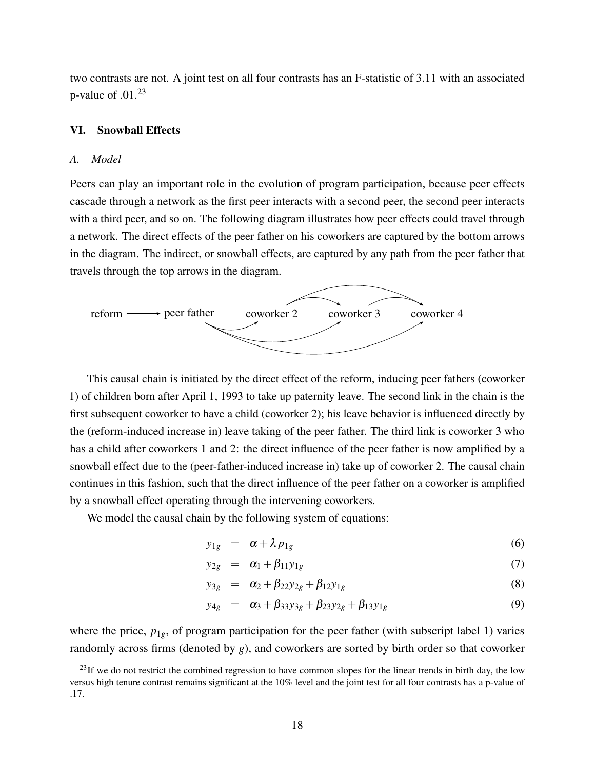two contrasts are not. A joint test on all four contrasts has an F-statistic of 3.11 with an associated p-value of  $.01<sup>23</sup>$  $.01<sup>23</sup>$  $.01<sup>23</sup>$ 

## VI. Snowball Effects

### *A. Model*

Peers can play an important role in the evolution of program participation, because peer effects cascade through a network as the first peer interacts with a second peer, the second peer interacts with a third peer, and so on. The following diagram illustrates how peer effects could travel through a network. The direct effects of the peer father on his coworkers are captured by the bottom arrows in the diagram. The indirect, or snowball effects, are captured by any path from the peer father that travels through the top arrows in the diagram.



This causal chain is initiated by the direct effect of the reform, inducing peer fathers (coworker 1) of children born after April 1, 1993 to take up paternity leave. The second link in the chain is the first subsequent coworker to have a child (coworker 2); his leave behavior is influenced directly by the (reform-induced increase in) leave taking of the peer father. The third link is coworker 3 who has a child after coworkers 1 and 2: the direct influence of the peer father is now amplified by a snowball effect due to the (peer-father-induced increase in) take up of coworker 2. The causal chain continues in this fashion, such that the direct influence of the peer father on a coworker is amplified by a snowball effect operating through the intervening coworkers.

We model the causal chain by the following system of equations:

$$
y_{1g} = \alpha + \lambda p_{1g} \tag{6}
$$

$$
y_{2g} = \alpha_1 + \beta_{11} y_{1g} \tag{7}
$$

$$
y_{3g} = \alpha_2 + \beta_{22} y_{2g} + \beta_{12} y_{1g} \tag{8}
$$

$$
y_{4g} = \alpha_3 + \beta_{33}y_{3g} + \beta_{23}y_{2g} + \beta_{13}y_{1g}
$$
(9)

where the price,  $p_{1g}$ , of program participation for the peer father (with subscript label 1) varies randomly across firms (denoted by *g*), and coworkers are sorted by birth order so that coworker

<span id="page-18-0"></span> $^{23}$ If we do not restrict the combined regression to have common slopes for the linear trends in birth day, the low versus high tenure contrast remains significant at the 10% level and the joint test for all four contrasts has a p-value of .17.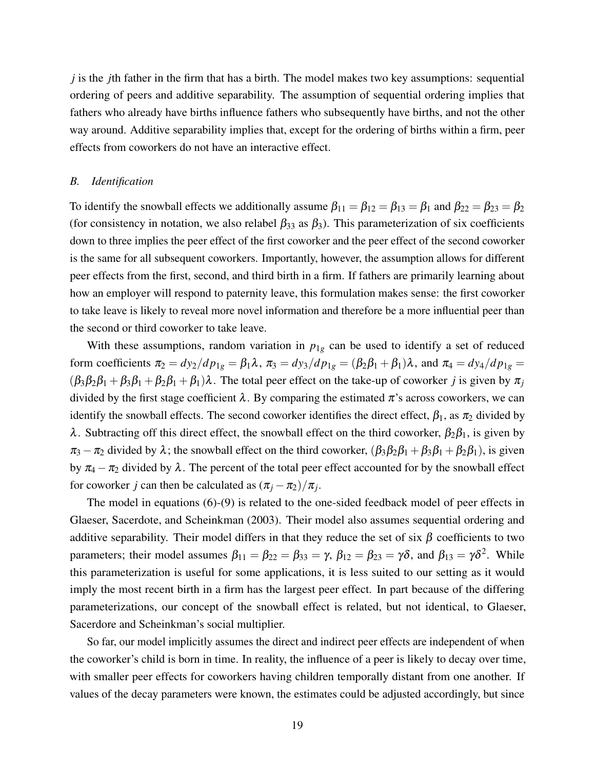*j* is the *j*th father in the firm that has a birth. The model makes two key assumptions: sequential ordering of peers and additive separability. The assumption of sequential ordering implies that fathers who already have births influence fathers who subsequently have births, and not the other way around. Additive separability implies that, except for the ordering of births within a firm, peer effects from coworkers do not have an interactive effect.

### *B. Identification*

To identify the snowball effects we additionally assume  $\beta_{11} = \beta_{12} = \beta_{13} = \beta_1$  and  $\beta_{22} = \beta_{23} = \beta_2$ (for consistency in notation, we also relabel  $\beta_{33}$  as  $\beta_{3}$ ). This parameterization of six coefficients down to three implies the peer effect of the first coworker and the peer effect of the second coworker is the same for all subsequent coworkers. Importantly, however, the assumption allows for different peer effects from the first, second, and third birth in a firm. If fathers are primarily learning about how an employer will respond to paternity leave, this formulation makes sense: the first coworker to take leave is likely to reveal more novel information and therefore be a more influential peer than the second or third coworker to take leave.

With these assumptions, random variation in  $p_{1g}$  can be used to identify a set of reduced form coefficients  $\pi_2 = dy_2/dp_{1g} = \beta_1 \lambda$ ,  $\pi_3 = dy_3/dp_{1g} = (\beta_2 \beta_1 + \beta_1)\lambda$ , and  $\pi_4 = dy_4/dp_{1g} =$  $(\beta_3\beta_2\beta_1 + \beta_3\beta_1 + \beta_2\beta_1 + \beta_1)\lambda$ . The total peer effect on the take-up of coworker *j* is given by  $\pi_j$ divided by the first stage coefficient  $\lambda$ . By comparing the estimated  $\pi$ 's across coworkers, we can identify the snowball effects. The second coworker identifies the direct effect,  $\beta_1$ , as  $\pi_2$  divided by λ. Subtracting off this direct effect, the snowball effect on the third coworker,  $β_2β_1$ , is given by  $\pi_3 - \pi_2$  divided by  $\lambda$ ; the snowball effect on the third coworker,  $(\beta_3\beta_2\beta_1 + \beta_3\beta_1 + \beta_2\beta_1)$ , is given by  $\pi_4 - \pi_2$  divided by  $\lambda$ . The percent of the total peer effect accounted for by the snowball effect for coworker *j* can then be calculated as  $(\pi_j - \pi_2)/\pi_j$ .

The model in equations (6)-(9) is related to the one-sided feedback model of peer effects in Glaeser, Sacerdote, and Scheinkman (2003). Their model also assumes sequential ordering and additive separability. Their model differs in that they reduce the set of six  $\beta$  coefficients to two parameters; their model assumes  $\beta_{11} = \beta_{22} = \beta_{33} = \gamma$ ,  $\beta_{12} = \beta_{23} = \gamma \delta$ , and  $\beta_{13} = \gamma \delta^2$ . While this parameterization is useful for some applications, it is less suited to our setting as it would imply the most recent birth in a firm has the largest peer effect. In part because of the differing parameterizations, our concept of the snowball effect is related, but not identical, to Glaeser, Sacerdore and Scheinkman's social multiplier.

So far, our model implicitly assumes the direct and indirect peer effects are independent of when the coworker's child is born in time. In reality, the influence of a peer is likely to decay over time, with smaller peer effects for coworkers having children temporally distant from one another. If values of the decay parameters were known, the estimates could be adjusted accordingly, but since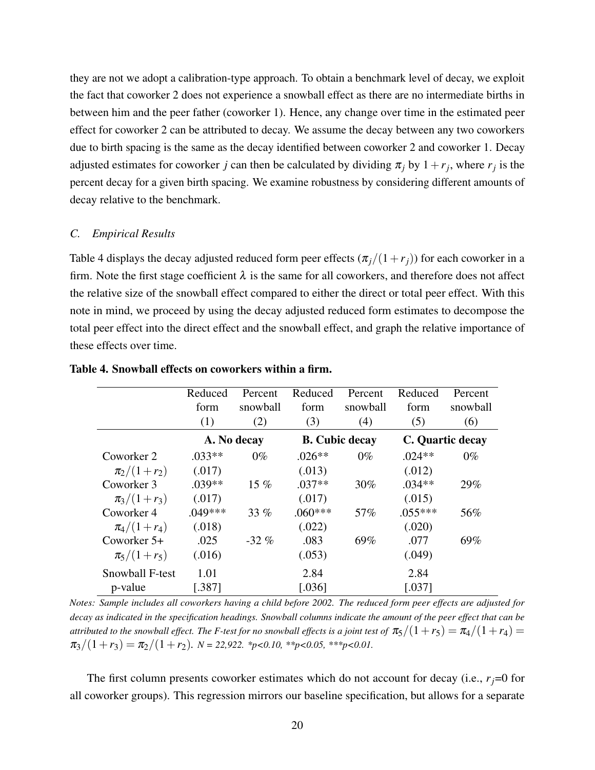they are not we adopt a calibration-type approach. To obtain a benchmark level of decay, we exploit the fact that coworker 2 does not experience a snowball effect as there are no intermediate births in between him and the peer father (coworker 1). Hence, any change over time in the estimated peer effect for coworker 2 can be attributed to decay. We assume the decay between any two coworkers due to birth spacing is the same as the decay identified between coworker 2 and coworker 1. Decay adjusted estimates for coworker *j* can then be calculated by dividing  $\pi_j$  by  $1 + r_j$ , where  $r_j$  is the percent decay for a given birth spacing. We examine robustness by considering different amounts of decay relative to the benchmark.

## *C. Empirical Results*

Table [4](#page-20-0) displays the decay adjusted reduced form peer effects  $(\pi_i/(1+r_i))$  for each coworker in a firm. Note the first stage coefficient  $\lambda$  is the same for all coworkers, and therefore does not affect the relative size of the snowball effect compared to either the direct or total peer effect. With this note in mind, we proceed by using the decay adjusted reduced form estimates to decompose the total peer effect into the direct effect and the snowball effect, and graph the relative importance of these effects over time.

|                 | Reduced   | Percent     | Reduced   | Percent               | Reduced   | Percent          |
|-----------------|-----------|-------------|-----------|-----------------------|-----------|------------------|
|                 | form      | snowball    | form      | snowball              | form      | snowball         |
|                 | (1)       | (2)         | (3)       | (4)                   | (5)       | (6)              |
|                 |           | A. No decay |           | <b>B.</b> Cubic decay |           | C. Quartic decay |
| Coworker 2      | $.033**$  | $0\%$       | $.026**$  | $0\%$                 | $.024**$  | $0\%$            |
| $\pi_2/(1+r_2)$ | (.017)    |             | (.013)    |                       | (.012)    |                  |
| Coworker 3      | $.039**$  | $15\%$      | $.037**$  | 30%                   | $.034**$  | 29%              |
| $\pi_3/(1+r_3)$ | (.017)    |             | (.017)    |                       | (.015)    |                  |
| Coworker 4      | $.049***$ | 33%         | $.060***$ | 57%                   | $.055***$ | 56%              |
| $\pi_4/(1+r_4)$ | (.018)    |             | (.022)    |                       | (.020)    |                  |
| Coworker $5+$   | .025      | $-32\%$     | .083      | 69%                   | .077      | 69%              |
| $\pi_5/(1+r_5)$ | (.016)    |             | (.053)    |                       | (.049)    |                  |
| Snowball F-test | 1.01      |             | 2.84      |                       | 2.84      |                  |
| p-value         | [.387]    |             | [.036]    |                       | [.037]    |                  |

<span id="page-20-0"></span>Table 4. Snowball effects on coworkers within a firm.

*Notes: Sample includes all coworkers having a child before 2002. The reduced form peer effects are adjusted for decay as indicated in the specification headings. Snowball columns indicate the amount of the peer effect that can be attributed to the snowball effect. The F-test for no snowball effects is a joint test of*  $\pi_5/(1+r_5) = \pi_4/(1+r_4)$  $\pi_3/(1+r_3) = \pi_2/(1+r_2)$ .  $N = 22,922$ . \*p<0.10, \*\*p<0.05, \*\*\*p<0.01.

The first column presents coworker estimates which do not account for decay (i.e.,  $r_j = 0$  for all coworker groups). This regression mirrors our baseline specification, but allows for a separate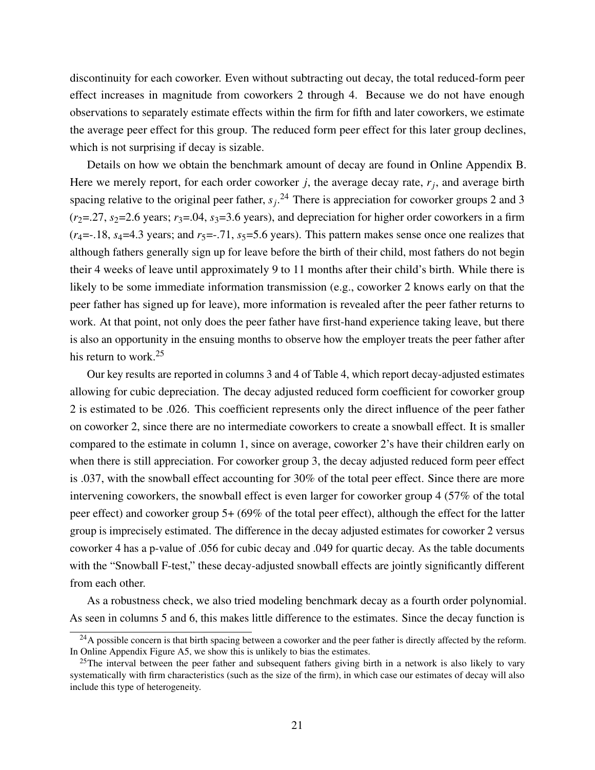discontinuity for each coworker. Even without subtracting out decay, the total reduced-form peer effect increases in magnitude from coworkers 2 through 4. Because we do not have enough observations to separately estimate effects within the firm for fifth and later coworkers, we estimate the average peer effect for this group. The reduced form peer effect for this later group declines, which is not surprising if decay is sizable.

Details on how we obtain the benchmark amount of decay are found in Online Appendix B. Here we merely report, for each order coworker *j*, the average decay rate, *r<sup>j</sup>* , and average birth spacing relative to the original peer father,  $s_j$ <sup>[24](#page-21-0)</sup>. There is appreciation for coworker groups 2 and 3  $(r_2=27, s_2=2.6$  years;  $r_3=0.04, s_3=3.6$  years), and depreciation for higher order coworkers in a firm  $(r_4 = -18, s_4 = 4.3$  years; and  $r_5 = -0.71, s_5 = 5.6$  years). This pattern makes sense once one realizes that although fathers generally sign up for leave before the birth of their child, most fathers do not begin their 4 weeks of leave until approximately 9 to 11 months after their child's birth. While there is likely to be some immediate information transmission (e.g., coworker 2 knows early on that the peer father has signed up for leave), more information is revealed after the peer father returns to work. At that point, not only does the peer father have first-hand experience taking leave, but there is also an opportunity in the ensuing months to observe how the employer treats the peer father after his return to work.<sup>[25](#page-21-1)</sup>

Our key results are reported in columns 3 and 4 of Table [4,](#page-20-0) which report decay-adjusted estimates allowing for cubic depreciation. The decay adjusted reduced form coefficient for coworker group 2 is estimated to be .026. This coefficient represents only the direct influence of the peer father on coworker 2, since there are no intermediate coworkers to create a snowball effect. It is smaller compared to the estimate in column 1, since on average, coworker 2's have their children early on when there is still appreciation. For coworker group 3, the decay adjusted reduced form peer effect is .037, with the snowball effect accounting for 30% of the total peer effect. Since there are more intervening coworkers, the snowball effect is even larger for coworker group 4 (57% of the total peer effect) and coworker group 5+ (69% of the total peer effect), although the effect for the latter group is imprecisely estimated. The difference in the decay adjusted estimates for coworker 2 versus coworker 4 has a p-value of .056 for cubic decay and .049 for quartic decay. As the table documents with the "Snowball F-test," these decay-adjusted snowball effects are jointly significantly different from each other.

As a robustness check, we also tried modeling benchmark decay as a fourth order polynomial. As seen in columns 5 and 6, this makes little difference to the estimates. Since the decay function is

<span id="page-21-0"></span> $^{24}$ A possible concern is that birth spacing between a coworker and the peer father is directly affected by the reform. In Online Appendix Figure A5, we show this is unlikely to bias the estimates.

<span id="page-21-1"></span> $^{25}$ The interval between the peer father and subsequent fathers giving birth in a network is also likely to vary systematically with firm characteristics (such as the size of the firm), in which case our estimates of decay will also include this type of heterogeneity.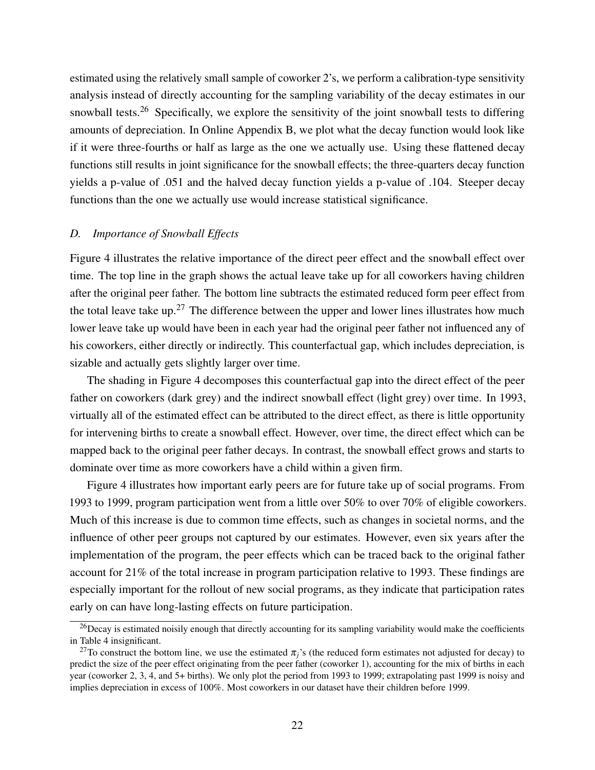estimated using the relatively small sample of coworker 2's, we perform a calibration-type sensitivity analysis instead of directly accounting for the sampling variability of the decay estimates in our snowball tests.<sup>[26](#page-22-0)</sup> Specifically, we explore the sensitivity of the joint snowball tests to differing amounts of depreciation. In Online Appendix B, we plot what the decay function would look like if it were three-fourths or half as large as the one we actually use. Using these flattened decay functions still results in joint significance for the snowball effects; the three-quarters decay function yields a p-value of .051 and the halved decay function yields a p-value of .104. Steeper decay functions than the one we actually use would increase statistical significance.

### *D. Importance of Snowball Effects*

Figure [4](#page-23-0) illustrates the relative importance of the direct peer effect and the snowball effect over time. The top line in the graph shows the actual leave take up for all coworkers having children after the original peer father. The bottom line subtracts the estimated reduced form peer effect from the total leave take up.<sup>[27](#page-22-1)</sup> The difference between the upper and lower lines illustrates how much lower leave take up would have been in each year had the original peer father not influenced any of his coworkers, either directly or indirectly. This counterfactual gap, which includes depreciation, is sizable and actually gets slightly larger over time.

The shading in Figure [4](#page-23-0) decomposes this counterfactual gap into the direct effect of the peer father on coworkers (dark grey) and the indirect snowball effect (light grey) over time. In 1993, virtually all of the estimated effect can be attributed to the direct effect, as there is little opportunity for intervening births to create a snowball effect. However, over time, the direct effect which can be mapped back to the original peer father decays. In contrast, the snowball effect grows and starts to dominate over time as more coworkers have a child within a given firm.

Figure [4](#page-23-0) illustrates how important early peers are for future take up of social programs. From 1993 to 1999, program participation went from a little over 50% to over 70% of eligible coworkers. Much of this increase is due to common time effects, such as changes in societal norms, and the influence of other peer groups not captured by our estimates. However, even six years after the implementation of the program, the peer effects which can be traced back to the original father account for 21% of the total increase in program participation relative to 1993. These findings are especially important for the rollout of new social programs, as they indicate that participation rates early on can have long-lasting effects on future participation.

<span id="page-22-0"></span> $^{26}$ Decay is estimated noisily enough that directly accounting for its sampling variability would make the coefficients in Table [4](#page-20-0) insignificant.

<span id="page-22-1"></span><sup>&</sup>lt;sup>27</sup>To construct the bottom line, we use the estimated  $\pi$ <sup>'</sup>s (the reduced form estimates not adjusted for decay) to predict the size of the peer effect originating from the peer father (coworker 1), accounting for the mix of births in each year (coworker 2, 3, 4, and 5+ births). We only plot the period from 1993 to 1999; extrapolating past 1999 is noisy and implies depreciation in excess of 100%. Most coworkers in our dataset have their children before 1999.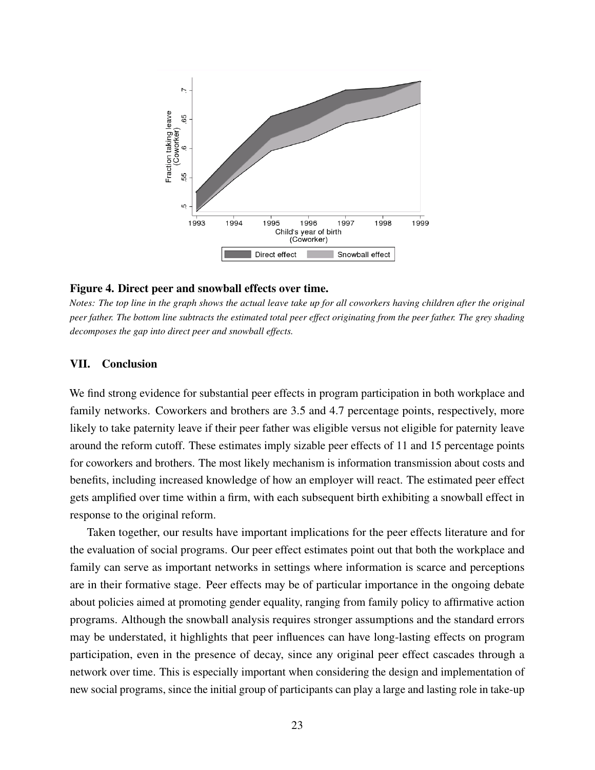<span id="page-23-0"></span>

### Figure 4. Direct peer and snowball effects over time.

*Notes: The top line in the graph shows the actual leave take up for all coworkers having children after the original peer father. The bottom line subtracts the estimated total peer effect originating from the peer father. The grey shading decomposes the gap into direct peer and snowball effects.*

### VII. Conclusion

We find strong evidence for substantial peer effects in program participation in both workplace and family networks. Coworkers and brothers are 3.5 and 4.7 percentage points, respectively, more likely to take paternity leave if their peer father was eligible versus not eligible for paternity leave around the reform cutoff. These estimates imply sizable peer effects of 11 and 15 percentage points for coworkers and brothers. The most likely mechanism is information transmission about costs and benefits, including increased knowledge of how an employer will react. The estimated peer effect gets amplified over time within a firm, with each subsequent birth exhibiting a snowball effect in response to the original reform.

Taken together, our results have important implications for the peer effects literature and for the evaluation of social programs. Our peer effect estimates point out that both the workplace and family can serve as important networks in settings where information is scarce and perceptions are in their formative stage. Peer effects may be of particular importance in the ongoing debate about policies aimed at promoting gender equality, ranging from family policy to affirmative action programs. Although the snowball analysis requires stronger assumptions and the standard errors may be understated, it highlights that peer influences can have long-lasting effects on program participation, even in the presence of decay, since any original peer effect cascades through a network over time. This is especially important when considering the design and implementation of new social programs, since the initial group of participants can play a large and lasting role in take-up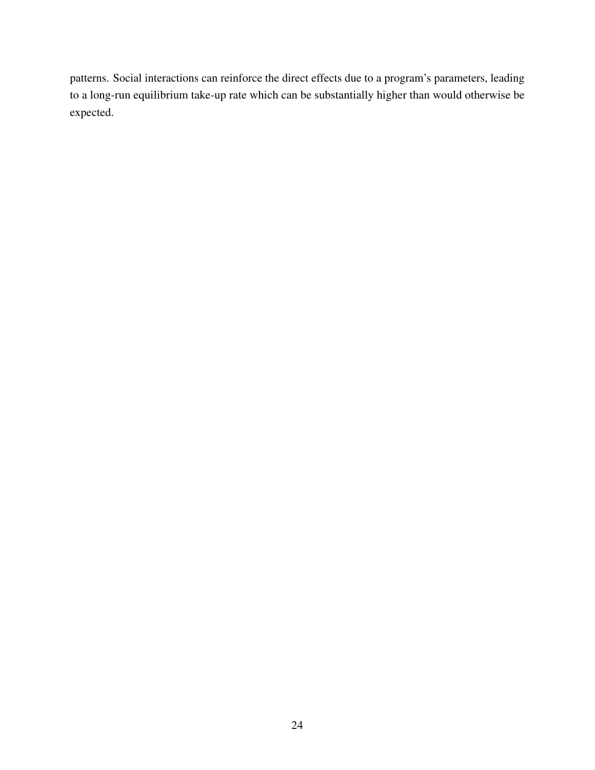patterns. Social interactions can reinforce the direct effects due to a program's parameters, leading to a long-run equilibrium take-up rate which can be substantially higher than would otherwise be expected.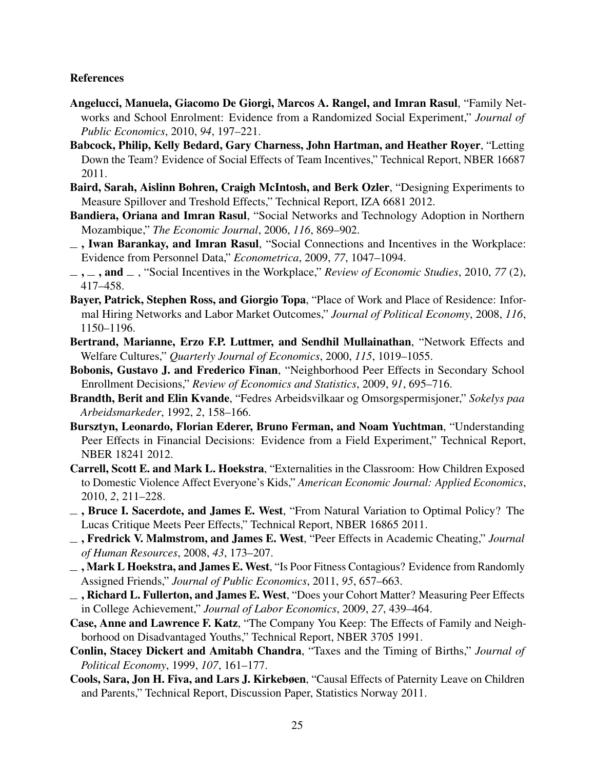# References

- Angelucci, Manuela, Giacomo De Giorgi, Marcos A. Rangel, and Imran Rasul, "Family Networks and School Enrolment: Evidence from a Randomized Social Experiment," *Journal of Public Economics*, 2010, *94*, 197–221.
- Babcock, Philip, Kelly Bedard, Gary Charness, John Hartman, and Heather Royer, "Letting Down the Team? Evidence of Social Effects of Team Incentives," Technical Report, NBER 16687 2011.
- Baird, Sarah, Aislinn Bohren, Craigh McIntosh, and Berk Ozler, "Designing Experiments to Measure Spillover and Treshold Effects," Technical Report, IZA 6681 2012.
- Bandiera, Oriana and Imran Rasul, "Social Networks and Technology Adoption in Northern Mozambique," *The Economic Journal*, 2006, *116*, 869–902.
- $\overline{\phantom{a}}$ , Iwan Barankay, and Imran Rasul, "Social Connections and Incentives in the Workplace: Evidence from Personnel Data," *Econometrica*, 2009, *77*, 1047–1094.
- $\ldots$ , and  $\ldots$ , "Social Incentives in the Workplace," *Review of Economic Studies*, 2010, 77(2), 417–458.
- Bayer, Patrick, Stephen Ross, and Giorgio Topa, "Place of Work and Place of Residence: Informal Hiring Networks and Labor Market Outcomes," *Journal of Political Economy*, 2008, *116*, 1150–1196.
- Bertrand, Marianne, Erzo F.P. Luttmer, and Sendhil Mullainathan, "Network Effects and Welfare Cultures," *Quarterly Journal of Economics*, 2000, *115*, 1019–1055.
- Bobonis, Gustavo J. and Frederico Finan, "Neighborhood Peer Effects in Secondary School Enrollment Decisions," *Review of Economics and Statistics*, 2009, *91*, 695–716.
- Brandth, Berit and Elin Kvande, "Fedres Arbeidsvilkaar og Omsorgspermisjoner," *Sokelys paa Arbeidsmarkeder*, 1992, *2*, 158–166.
- Bursztyn, Leonardo, Florian Ederer, Bruno Ferman, and Noam Yuchtman, "Understanding Peer Effects in Financial Decisions: Evidence from a Field Experiment," Technical Report, NBER 18241 2012.
- Carrell, Scott E. and Mark L. Hoekstra, "Externalities in the Classroom: How Children Exposed to Domestic Violence Affect Everyone's Kids," *American Economic Journal: Applied Economics*, 2010, *2*, 211–228.
- $\overline{\phantom{a}}$ , Bruce I. Sacerdote, and James E. West, "From Natural Variation to Optimal Policy? The Lucas Critique Meets Peer Effects," Technical Report, NBER 16865 2011.
- , Fredrick V. Malmstrom, and James E. West, "Peer Effects in Academic Cheating," *Journal of Human Resources*, 2008, *43*, 173–207.
- $\Box$ , Mark L Hoekstra, and James E. West, "Is Poor Fitness Contagious? Evidence from Randomly Assigned Friends," *Journal of Public Economics*, 2011, *95*, 657–663.
- $\overline{\phantom{a}}$ , Richard L. Fullerton, and James E. West, "Does your Cohort Matter? Measuring Peer Effects in College Achievement," *Journal of Labor Economics*, 2009, *27*, 439–464.
- Case, Anne and Lawrence F. Katz, "The Company You Keep: The Effects of Family and Neighborhood on Disadvantaged Youths," Technical Report, NBER 3705 1991.
- Conlin, Stacey Dickert and Amitabh Chandra, "Taxes and the Timing of Births," *Journal of Political Economy*, 1999, *107*, 161–177.
- Cools, Sara, Jon H. Fiva, and Lars J. Kirkebøen, "Causal Effects of Paternity Leave on Children and Parents," Technical Report, Discussion Paper, Statistics Norway 2011.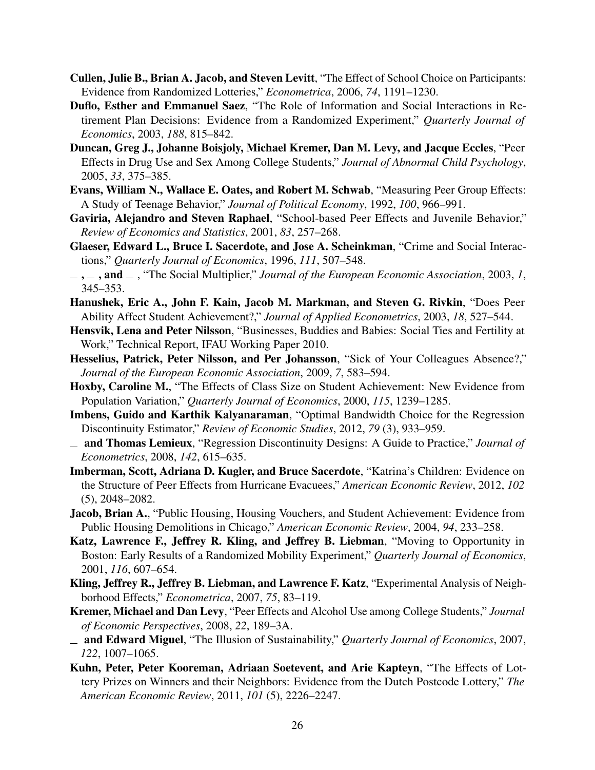- Cullen, Julie B., Brian A. Jacob, and Steven Levitt, "The Effect of School Choice on Participants: Evidence from Randomized Lotteries," *Econometrica*, 2006, *74*, 1191–1230.
- Duflo, Esther and Emmanuel Saez, "The Role of Information and Social Interactions in Retirement Plan Decisions: Evidence from a Randomized Experiment," *Quarterly Journal of Economics*, 2003, *188*, 815–842.
- Duncan, Greg J., Johanne Boisjoly, Michael Kremer, Dan M. Levy, and Jacque Eccles, "Peer Effects in Drug Use and Sex Among College Students," *Journal of Abnormal Child Psychology*, 2005, *33*, 375–385.
- Evans, William N., Wallace E. Oates, and Robert M. Schwab, "Measuring Peer Group Effects: A Study of Teenage Behavior," *Journal of Political Economy*, 1992, *100*, 966–991.
- Gaviria, Alejandro and Steven Raphael, "School-based Peer Effects and Juvenile Behavior," *Review of Economics and Statistics*, 2001, *83*, 257–268.
- Glaeser, Edward L., Bruce I. Sacerdote, and Jose A. Scheinkman, "Crime and Social Interactions," *Quarterly Journal of Economics*, 1996, *111*, 507–548.
- $\ldots$ , and  $\ldots$ , "The Social Multiplier," *Journal of the European Economic Association*, 2003, *1*, 345–353.
- Hanushek, Eric A., John F. Kain, Jacob M. Markman, and Steven G. Rivkin, "Does Peer Ability Affect Student Achievement?," *Journal of Applied Econometrics*, 2003, *18*, 527–544.
- Hensvik, Lena and Peter Nilsson, "Businesses, Buddies and Babies: Social Ties and Fertility at Work," Technical Report, IFAU Working Paper 2010.
- Hesselius, Patrick, Peter Nilsson, and Per Johansson, "Sick of Your Colleagues Absence?," *Journal of the European Economic Association*, 2009, *7*, 583–594.
- Hoxby, Caroline M., "The Effects of Class Size on Student Achievement: New Evidence from Population Variation," *Quarterly Journal of Economics*, 2000, *115*, 1239–1285.
- Imbens, Guido and Karthik Kalyanaraman, "Optimal Bandwidth Choice for the Regression Discontinuity Estimator," *Review of Economic Studies*, 2012, *79* (3), 933–959.
- and Thomas Lemieux, "Regression Discontinuity Designs: A Guide to Practice," *Journal of Econometrics*, 2008, *142*, 615–635.
- Imberman, Scott, Adriana D. Kugler, and Bruce Sacerdote, "Katrina's Children: Evidence on the Structure of Peer Effects from Hurricane Evacuees," *American Economic Review*, 2012, *102* (5), 2048–2082.
- Jacob, Brian A., "Public Housing, Housing Vouchers, and Student Achievement: Evidence from Public Housing Demolitions in Chicago," *American Economic Review*, 2004, *94*, 233–258.
- Katz, Lawrence F., Jeffrey R. Kling, and Jeffrey B. Liebman, "Moving to Opportunity in Boston: Early Results of a Randomized Mobility Experiment," *Quarterly Journal of Economics*, 2001, *116*, 607–654.
- Kling, Jeffrey R., Jeffrey B. Liebman, and Lawrence F. Katz, "Experimental Analysis of Neighborhood Effects," *Econometrica*, 2007, *75*, 83–119.
- Kremer, Michael and Dan Levy, "Peer Effects and Alcohol Use among College Students," *Journal of Economic Perspectives*, 2008, *22*, 189–3A.
- and Edward Miguel, "The Illusion of Sustainability," *Quarterly Journal of Economics*, 2007, *122*, 1007–1065.
- Kuhn, Peter, Peter Kooreman, Adriaan Soetevent, and Arie Kapteyn, "The Effects of Lottery Prizes on Winners and their Neighbors: Evidence from the Dutch Postcode Lottery," *The American Economic Review*, 2011, *101* (5), 2226–2247.